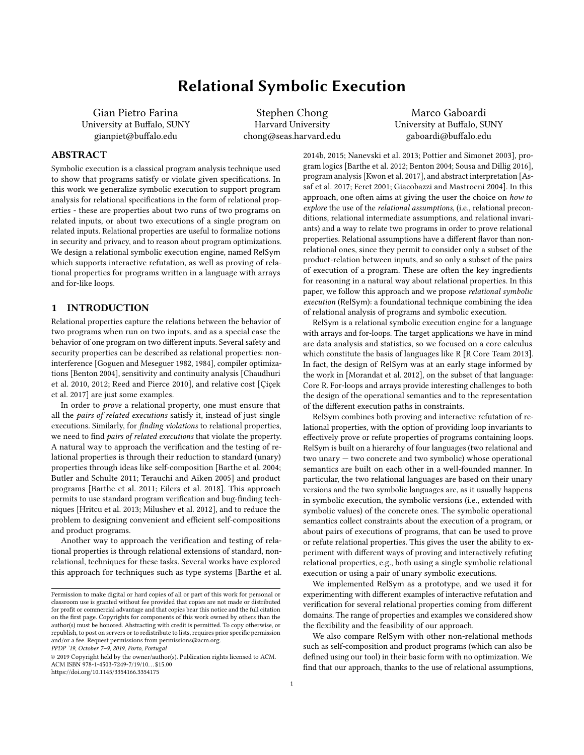# Relational Symbolic Execution

Gian Pietro Farina University at Buffalo, SUNY gianpiet@buffalo.edu

Stephen Chong Harvard University chong@seas.harvard.edu

Marco Gaboardi University at Buffalo, SUNY gaboardi@buffalo.edu

# ABSTRACT

Symbolic execution is a classical program analysis technique used to show that programs satisfy or violate given specifications. In this work we generalize symbolic execution to support program analysis for relational specifications in the form of relational properties - these are properties about two runs of two programs on related inputs, or about two executions of a single program on related inputs. Relational properties are useful to formalize notions in security and privacy, and to reason about program optimizations. We design a relational symbolic execution engine, named RelSym which supports interactive refutation, as well as proving of relational properties for programs written in a language with arrays and for-like loops.

#### 1 INTRODUCTION

Relational properties capture the relations between the behavior of two programs when run on two inputs, and as a special case the behavior of one program on two different inputs. Several safety and security properties can be described as relational properties: noninterference [\[Goguen and Meseguer 1982,](#page-13-0) [1984\]](#page-13-1), compiler optimizations [\[Benton 2004\]](#page-12-0), sensitivity and continuity analysis [\[Chaudhuri](#page-12-1) [et al.](#page-12-1) [2010,](#page-12-1) [2012;](#page-12-2) [Reed and Pierce 2010\]](#page-13-2), and relative cost [\[Çiçek](#page-12-3) [et al. 2017\]](#page-12-3) are just some examples.

In order to prove a relational property, one must ensure that all the pairs of related executions satisfy it, instead of just single executions. Similarly, for finding violations to relational properties, we need to find pairs of related executions that violate the property. A natural way to approach the verification and the testing of relational properties is through their reduction to standard (unary) properties through ideas like self-composition [\[Barthe et al.](#page-12-4) [2004;](#page-12-4) [Butler and Schulte 2011;](#page-12-5) [Terauchi and Aiken 2005\]](#page-13-3) and product programs [\[Barthe et al.](#page-12-6) [2011;](#page-12-6) [Eilers et al.](#page-13-4) [2018\]](#page-13-4). This approach permits to use standard program verification and bug-finding techniques [\[Hritcu et al.](#page-13-5) [2013;](#page-13-5) [Milushev et al.](#page-13-6) [2012\]](#page-13-6), and to reduce the problem to designing convenient and efficient self-compositions and product programs.

Another way to approach the verification and testing of relational properties is through relational extensions of standard, nonrelational, techniques for these tasks. Several works have explored this approach for techniques such as type systems [\[Barthe et al.](#page-12-7)

PPDP '19, October 7–9, 2019, Porto, Portugal

[2014b,](#page-12-7) [2015;](#page-12-8) [Nanevski et al.](#page-13-7) [2013;](#page-13-7) [Pottier and Simonet 2003\]](#page-13-8), program logics [\[Barthe et al.](#page-12-9) [2012;](#page-12-9) [Benton 2004;](#page-12-0) [Sousa and Dillig 2016\]](#page-13-9), program analysis [\[Kwon et al.](#page-13-10) [2017\]](#page-13-10), and abstract interpretation [\[As](#page-12-10)[saf et al.](#page-12-10) [2017;](#page-12-10) [Feret 2001;](#page-13-11) [Giacobazzi and Mastroeni 2004\]](#page-13-12). In this approach, one often aims at giving the user the choice on how to explore the use of the relational assumptions, (i.e., relational preconditions, relational intermediate assumptions, and relational invariants) and a way to relate two programs in order to prove relational properties. Relational assumptions have a different flavor than nonrelational ones, since they permit to consider only a subset of the product-relation between inputs, and so only a subset of the pairs of execution of a program. These are often the key ingredients for reasoning in a natural way about relational properties. In this paper, we follow this approach and we propose relational symbolic execution (RelSym): a foundational technique combining the idea of relational analysis of programs and symbolic execution.

RelSym is a relational symbolic execution engine for a language with arrays and for-loops. The target applications we have in mind are data analysis and statistics, so we focused on a core calculus which constitute the basis of languages like R [\[R Core Team 2013\]](#page-13-13). In fact, the design of RelSym was at an early stage informed by the work in [\[Morandat et al.](#page-13-14) [2012\]](#page-13-14), on the subset of that language: Core R. For-loops and arrays provide interesting challenges to both the design of the operational semantics and to the representation of the different execution paths in constraints.

RelSym combines both proving and interactive refutation of relational properties, with the option of providing loop invariants to effectively prove or refute properties of programs containing loops. RelSym is built on a hierarchy of four languages (two relational and two unary — two concrete and two symbolic) whose operational semantics are built on each other in a well-founded manner. In particular, the two relational languages are based on their unary versions and the two symbolic languages are, as it usually happens in symbolic execution, the symbolic versions (i.e., extended with symbolic values) of the concrete ones. The symbolic operational semantics collect constraints about the execution of a program, or about pairs of executions of programs, that can be used to prove or refute relational properties. This gives the user the ability to experiment with different ways of proving and interactively refuting relational properties, e.g., both using a single symbolic relational execution or using a pair of unary symbolic executions.

We implemented RelSym as a prototype, and we used it for experimenting with different examples of interactive refutation and verification for several relational properties coming from different domains. The range of properties and examples we considered show the flexibility and the feasibility of our approach.

We also compare RelSym with other non-relational methods such as self-composition and product programs (which can also be defined using our tool) in their basic form with no optimization. We find that our approach, thanks to the use of relational assumptions,

Permission to make digital or hard copies of all or part of this work for personal or classroom use is granted without fee provided that copies are not made or distributed for profit or commercial advantage and that copies bear this notice and the full citation on the first page. Copyrights for components of this work owned by others than the author(s) must be honored. Abstracting with credit is permitted. To copy otherwise, or republish, to post on servers or to redistribute to lists, requires prior specific permission and/or a fee. Request permissions from permissions@acm.org.

<sup>©</sup> 2019 Copyright held by the owner/author(s). Publication rights licensed to ACM. ACM ISBN 978-1-4503-7249-7/19/10. . . \$15.00 <https://doi.org/10.1145/3354166.3354175>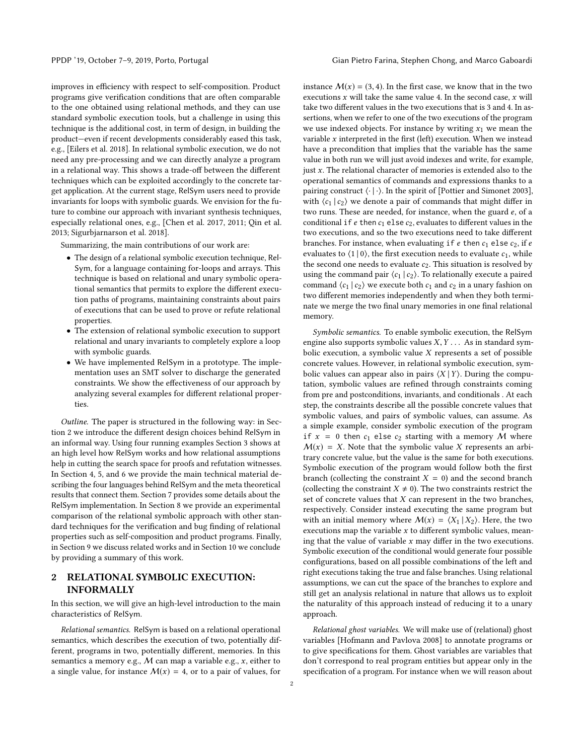improves in efficiency with respect to self-composition. Product programs give verification conditions that are often comparable to the one obtained using relational methods, and they can use standard symbolic execution tools, but a challenge in using this technique is the additional cost, in term of design, in building the product—even if recent developments considerably eased this task, e.g., [\[Eilers et al.](#page-13-4) [2018\]](#page-13-4). In relational symbolic execution, we do not need any pre-processing and we can directly analyze a program in a relational way. This shows a trade-off between the different techniques which can be exploited accordingly to the concrete target application. At the current stage, RelSym users need to provide invariants for loops with symbolic guards. We envision for the future to combine our approach with invariant synthesis techniques, especially relational ones, e.g., [\[Chen et al.](#page-12-11) [2017,](#page-12-11) [2011;](#page-12-12) [Qin et al.](#page-13-15) [2013;](#page-13-15) [Sigurbjarnarson et al. 2018\]](#page-13-16).

Summarizing, the main contributions of our work are:

- The design of a relational symbolic execution technique, Rel-Sym, for a language containing for-loops and arrays. This technique is based on relational and unary symbolic operational semantics that permits to explore the different execution paths of programs, maintaining constraints about pairs of executions that can be used to prove or refute relational properties.
- The extension of relational symbolic execution to support relational and unary invariants to completely explore a loop with symbolic guards.
- We have implemented RelSym in a prototype. The implementation uses an SMT solver to discharge the generated constraints. We show the effectiveness of our approach by analyzing several examples for different relational properties.

Outline. The paper is structured in the following way: in Section [2](#page-1-0) we introduce the different design choices behind RelSym in an informal way. Using four running examples Section [3](#page-2-0) shows at an high level how RelSym works and how relational assumptions help in cutting the search space for proofs and refutation witnesses. In Section [4,](#page-4-0) [5,](#page-6-0) and [6](#page-8-0) we provide the main technical material describing the four languages behind RelSym and the meta theoretical results that connect them. Section [7](#page-10-0) provides some details about the RelSym implementation. In Section [8](#page-10-1) we provide an experimental comparison of the relational symbolic approach with other standard techniques for the verification and bug finding of relational properties such as self-composition and product programs. Finally, in Section [9](#page-11-0) we discuss related works and in Section [10](#page-12-13) we conclude by providing a summary of this work.

# <span id="page-1-0"></span>2 RELATIONAL SYMBOLIC EXECUTION: INFORMALLY

In this section, we will give an high-level introduction to the main characteristics of RelSym.

Relational semantics. RelSym is based on a relational operational semantics, which describes the execution of two, potentially different, programs in two, potentially different, memories. In this semantics a memory e.g.,  $M$  can map a variable e.g.,  $x$ , either to a single value, for instance  $M(x) = 4$ , or to a pair of values, for

instance  $M(x) = (3, 4)$ . In the first case, we know that in the two executions  $x$  will take the same value 4. In the second case,  $x$  will take two different values in the two executions that is 3 and 4. In assertions, when we refer to one of the two executions of the program we use indexed objects. For instance by writing  $x_1$  we mean the variable  $x$  interpreted in the first (left) execution. When we instead have a precondition that implies that the variable has the same value in both run we will just avoid indexes and write, for example, just  $x$ . The relational character of memories is extended also to the operational semantics of commands and expressions thanks to a pairing construct  $\langle \cdot | \cdot \rangle$ . In the spirit of [\[Pottier and Simonet 2003\]](#page-13-8), with  $\langle c_1 | c_2 \rangle$  we denote a pair of commands that might differ in two runs. These are needed, for instance, when the guard e, of a conditional if  $e$  then  $c_1$  else  $c_2$ , evaluates to different values in the two executions, and so the two executions need to take different branches. For instance, when evaluating if  $e$  then  $c_1$  else  $c_2$ , if  $e$ evaluates to  $\langle 1 | 0 \rangle$ , the first execution needs to evaluate  $c_1$ , while the second one needs to evaluate  $c_2$ . This situation is resolved by using the command pair  $\langle c_1 | c_2 \rangle$ . To relationally execute a paired command  $\langle c_1 | c_2 \rangle$  we execute both  $c_1$  and  $c_2$  in a unary fashion on two different memories independently and when they both terminate we merge the two final unary memories in one final relational memory.

Symbolic semantics. To enable symbolic execution, the RelSym engine also supports symbolic values  $X, Y, \ldots$  As in standard symbolic execution, a symbolic value  $X$  represents a set of possible concrete values. However, in relational symbolic execution, symbolic values can appear also in pairs  $\langle X | Y \rangle$ . During the computation, symbolic values are refined through constraints coming from pre and postconditions, invariants, and conditionals . At each step, the constraints describe all the possible concrete values that symbolic values, and pairs of symbolic values, can assume. As a simple example, consider symbolic execution of the program if  $x = 0$  then  $c_1$  else  $c_2$  starting with a memory M where  $M(x) = X$ . Note that the symbolic value X represents an arbitrary concrete value, but the value is the same for both executions. Symbolic execution of the program would follow both the first branch (collecting the constraint  $X = 0$ ) and the second branch (collecting the constraint  $X \neq 0$ ). The two constraints restrict the set of concrete values that  $X$  can represent in the two branches, respectively. Consider instead executing the same program but with an initial memory where  $M(x) = \langle X_1 | X_2 \rangle$ . Here, the two executions map the variable  $x$  to different symbolic values, meaning that the value of variable  $x$  may differ in the two executions. Symbolic execution of the conditional would generate four possible configurations, based on all possible combinations of the left and right executions taking the true and false branches. Using relational assumptions, we can cut the space of the branches to explore and still get an analysis relational in nature that allows us to exploit the naturality of this approach instead of reducing it to a unary approach.

Relational ghost variables. We will make use of (relational) ghost variables [\[Hofmann and Pavlova 2008\]](#page-13-17) to annotate programs or to give specifications for them. Ghost variables are variables that don't correspond to real program entities but appear only in the specification of a program. For instance when we will reason about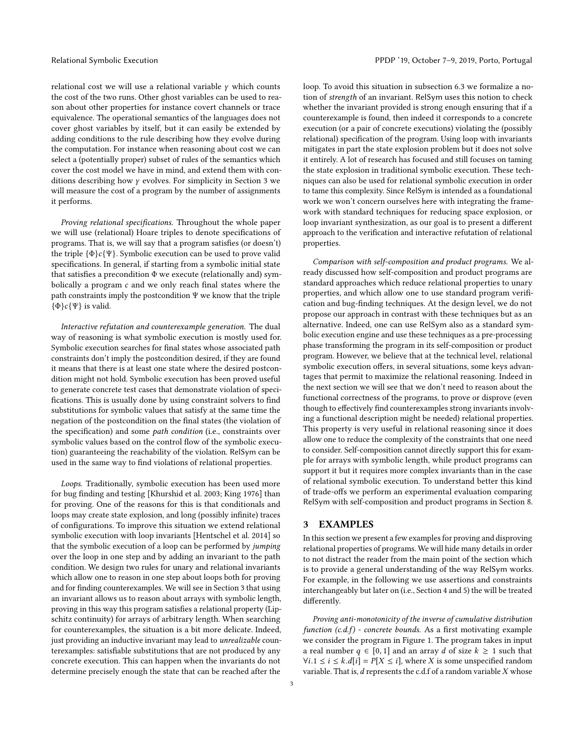relational cost we will use a relational variable  $\gamma$  which counts the cost of the two runs. Other ghost variables can be used to reason about other properties for instance covert channels or trace equivalence. The operational semantics of the languages does not cover ghost variables by itself, but it can easily be extended by adding conditions to the rule describing how they evolve during the computation. For instance when reasoning about cost we can select a (potentially proper) subset of rules of the semantics which cover the cost model we have in mind, and extend them with conditions describing how γ evolves. For simplicity in Section [3](#page-2-0) we will measure the cost of a program by the number of assignments it performs.

Proving relational specifications. Throughout the whole paper we will use (relational) Hoare triples to denote specifications of programs. That is, we will say that a program satisfies (or doesn't) the triple  $\{\Phi\}c\{\Psi\}$ . Symbolic execution can be used to prove valid specifications. In general, if starting from a symbolic initial state that satisfies a precondition  $\Phi$  we execute (relationally and) symbolically a program c and we only reach final states where the path constraints imply the postcondition Ψ we know that the triple  $\{\Phi\}c\{\Psi\}$  is valid.

Interactive refutation and counterexample generation. The dual way of reasoning is what symbolic execution is mostly used for. Symbolic execution searches for final states whose associated path constraints don't imply the postcondition desired, if they are found it means that there is at least one state where the desired postcondition might not hold. Symbolic execution has been proved useful to generate concrete test cases that demonstrate violation of specifications. This is usually done by using constraint solvers to find substitutions for symbolic values that satisfy at the same time the negation of the postcondition on the final states (the violation of the specification) and some path condition (i.e., constraints over symbolic values based on the control flow of the symbolic execution) guaranteeing the reachability of the violation. RelSym can be used in the same way to find violations of relational properties.

Loops. Traditionally, symbolic execution has been used more for bug finding and testing [\[Khurshid et al.](#page-13-18) [2003;](#page-13-18) [King 1976\]](#page-13-19) than for proving. One of the reasons for this is that conditionals and loops may create state explosion, and long (possibly infinite) traces of configurations. To improve this situation we extend relational symbolic execution with loop invariants [\[Hentschel et al.](#page-13-20) [2014\]](#page-13-20) so that the symbolic execution of a loop can be performed by jumping over the loop in one step and by adding an invariant to the path condition. We design two rules for unary and relational invariants which allow one to reason in one step about loops both for proving and for finding counterexamples. We will see in Section [3](#page-2-0) that using an invariant allows us to reason about arrays with symbolic length, proving in this way this program satisfies a relational property (Lipschitz continuity) for arrays of arbitrary length. When searching for counterexamples, the situation is a bit more delicate. Indeed, just providing an inductive invariant may lead to unrealizable counterexamples: satisfiable substitutions that are not produced by any concrete execution. This can happen when the invariants do not determine precisely enough the state that can be reached after the

loop. To avoid this situation in subsection [6.3](#page-9-0) we formalize a notion of strength of an invariant. RelSym uses this notion to check whether the invariant provided is strong enough ensuring that if a counterexample is found, then indeed it corresponds to a concrete execution (or a pair of concrete executions) violating the (possibly relational) specification of the program. Using loop with invariants mitigates in part the state explosion problem but it does not solve it entirely. A lot of research has focused and still focuses on taming the state explosion in traditional symbolic execution. These techniques can also be used for relational symbolic execution in order to tame this complexity. Since RelSym is intended as a foundational work we won't concern ourselves here with integrating the framework with standard techniques for reducing space explosion, or loop invariant synthesization, as our goal is to present a different approach to the verification and interactive refutation of relational properties.

Comparison with self-composition and product programs. We already discussed how self-composition and product programs are standard approaches which reduce relational properties to unary properties, and which allow one to use standard program verification and bug-finding techniques. At the design level, we do not propose our approach in contrast with these techniques but as an alternative. Indeed, one can use RelSym also as a standard symbolic execution engine and use these techniques as a pre-processing phase transforming the program in its self-composition or product program. However, we believe that at the technical level, relational symbolic execution offers, in several situations, some keys advantages that permit to maximize the relational reasoning. Indeed in the next section we will see that we don't need to reason about the functional correctness of the programs, to prove or disprove (even though to effectively find counterexamples strong invariants involving a functional description might be needed) relational properties. This property is very useful in relational reasoning since it does allow one to reduce the complexity of the constraints that one need to consider. Self-composition cannot directly support this for example for arrays with symbolic length, while product programs can support it but it requires more complex invariants than in the case of relational symbolic execution. To understand better this kind of trade-offs we perform an experimental evaluation comparing RelSym with self-composition and product programs in Section [8.](#page-10-1)

# <span id="page-2-0"></span>3 EXAMPLES

In this section we present a few examples for proving and disproving relational properties of programs. We will hide many details in order to not distract the reader from the main point of the section which is to provide a general understanding of the way RelSym works. For example, in the following we use assertions and constraints interchangeably but later on (i.e., Section [4](#page-4-0) and [5\)](#page-6-0) the will be treated differently.

Proving anti-monotonicity of the inverse of cumulative distribution function  $(c.d.f)$  - concrete bounds. As a first motivating example we consider the program in Figure [1.](#page-3-0) The program takes in input a real number  $q \in [0, 1]$  and an array d of size  $k \ge 1$  such that  $∀i.1 ≤ i ≤ k.d[i] = P[X ≤ i]$ , where X is some unspecified random variable. That is,  $d$  represents the c.d.f of a random variable  $X$  whose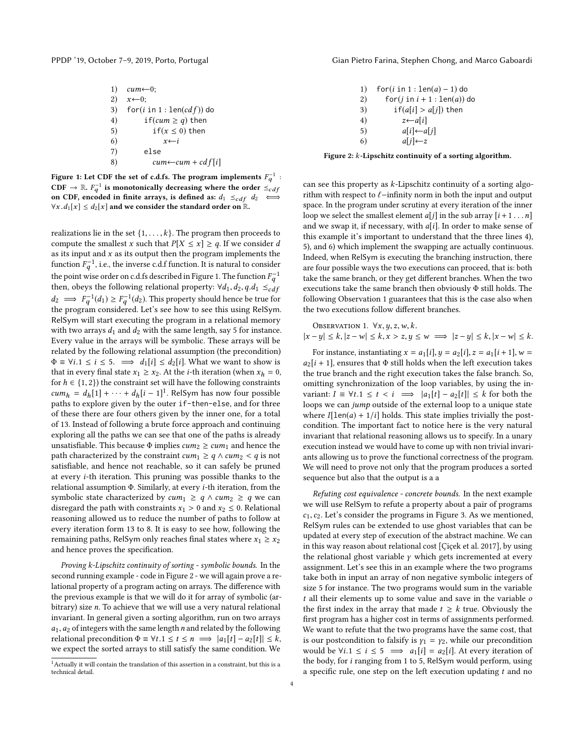| 1) | $cum \leftarrow 0$ ;                 |
|----|--------------------------------------|
| 2) | $x \leftarrow 0$ :                   |
| 3) | $for(i in 1: len(cd f))$ do          |
| 4) | if( <i>cum</i> $\ge$ <i>q</i> ) then |
| 5) | if( $x \leq 0$ ) then                |
| 6) | $x \leftarrow i$                     |
| 7) | else                                 |
| 8) | $cum\leftarrow cum + cdf[i]$         |
|    |                                      |

Figure 1: Let CDF the set of c.d.fs. The program implements  $F_{\bm{q}}^{-1}$  :  $\text{CDF} \rightarrow \mathbb{R}$ .  $F_q^{-1}$  is monotonically decreasing where the order  $\stackrel{?}{\leq_{cdf}}$ on CDF, encoded in finite arrays, is defined as:  $d_1 \leq_{cdf} d_2 \iff$  $\forall x. d_1[x] \leq d_2[x]$  and we consider the standard order on  $\mathbb{R}$ .

realizations lie in the set  $\{1, \ldots, k\}$ . The program then proceeds to compute the smallest x such that  $P[X \le x] \ge q$ . If we consider d as its input and  $x$  as its output then the program implements the function  $F_q^{-1}$ , i.e., the inverse c.d.f function. It is natural to consider the existence of  $g$  denotes the Einer 1. The function  $F_q^{-1}$ the point wise order on c.d.fs described in Figure [1.](#page-3-0) The function  $F_q^{-1}$ then, obeys the following relational property:  $\forall d_1, d_2, q.d_1 \leq_{c} df$  $d_2 \implies F_q^{-1}(d_1) \geq F_q^{-1}(d_2)$ . This property should hence be true for the program considered Let's see how to see this using PelSym the program considered. Let's see how to see this using RelSym. RelSym will start executing the program in a relational memory with two arrays  $d_1$  and  $d_2$  with the same length, say 5 for instance. Every value in the arrays will be symbolic. These arrays will be related by the following relational assumption (the precondition)  $\Phi \equiv \forall i.1 \leq i \leq 5. \implies d_1[i] \leq d_2[i]$ . What we want to show is that in every final state  $x_1 \ge x_2$ . At the *i*-th iteration (when  $x_h = 0$ , for  $h \in \{1, 2\}$ ) the constraint set will have the following constraints  $cum_h = d_h[1] + \cdots + d_h[i-1]^T$  $cum_h = d_h[1] + \cdots + d_h[i-1]^T$  $cum_h = d_h[1] + \cdots + d_h[i-1]^T$ . RelSym has now four possible<br>naths to explore given by the outer if -then-else and for three paths to explore given by the outer if-then-else, and for three of these there are four others given by the inner one, for a total of 13. Instead of following a brute force approach and continuing exploring all the paths we can see that one of the paths is already unsatisfiable. This because  $\Phi$  implies  $cum_2 \ge cum_1$  and hence the path characterized by the constraint  $cum_1 \geq q \wedge cum_2 < q$  is not satisfiable, and hence not reachable, so it can safely be pruned at every i-th iteration. This pruning was possible thanks to the relational assumption Φ. Similarly, at every i-th iteration, from the symbolic state characterized by  $cum_1 \geq q \wedge cum_2 \geq q$  we can disregard the path with constraints  $x_1 > 0$  and  $x_2 \le 0$ . Relational reasoning allowed us to reduce the number of paths to follow at every iteration form 13 to 8. It is easy to see how, following the remaining paths, RelSym only reaches final states where  $x_1 \ge x_2$ and hence proves the specification.

Proving k-Lipschitz continuity of sorting - symbolic bounds. In the second running example - code in Figure [2](#page-3-2) - we will again prove a relational property of a program acting on arrays. The difference with the previous example is that we will do it for array of symbolic (arbitrary) size n. To achieve that we will use a very natural relational invariant. In general given a sorting algorithm, run on two arrays  $a_1$ ,  $a_2$  of integers with the same length n and related by the following relational precondition  $\Phi = \forall t \cdot 1 \le t \le n \implies |a_1[t] - a_2[t]| \le k$ , we expect the sorted arrays to still satisfy the same condition. We

<span id="page-3-0"></span>PPDP '19, October 7-9, 2019, Porto, Portugal Gian Pietro Farina, Stephen Chong, and Marco Gaboardi

<span id="page-3-2"></span>1) for(i in 1 :  $len(a) - 1)$  do<br>2) for(j in i + 1 :  $len(a)$ ) 2) for(*j* in  $i + 1$  : len(*a*)) do<br>3) if(*a*[*i*] > *a*[*j*]) then 3)  $if(a[i] > a[j])$  then<br>4)  $z \leftarrow a[i]$ 4)  $z \leftarrow a[i]$ <br>5)  $a[i] \leftarrow a$ 5)  $a[i] \leftarrow a[j]$ <br>6)  $a[j] \leftarrow z$  $a[j] \leftarrow z$ 

#### Figure 2: k-Lipschitz continuity of a sorting algorithm.

can see this property as k-Lipschitz continuity of a sorting algorithm with respect to  $\ell$ −infinity norm in both the input and output space. In the program under scrutiny at every iteration of the inner loop we select the smallest element  $a[j]$  in the sub array  $[i+1 \dots n]$ and we swap it, if necessary, with  $a[i]$ . In order to make sense of this example it's important to understand that the three lines 4), 5), and 6) which implement the swapping are actually continuous. Indeed, when RelSym is executing the branching instruction, there are four possible ways the two executions can proceed, that is: both take the same branch, or they get different branches. When the two executions take the same branch then obviously Φ still holds. The following Observation [1](#page-3-3) guarantees that this is the case also when the two executions follow different branches.

<span id="page-3-3"></span>**ObservATION 1.** 
$$
\forall x, y, z, w, k.
$$
  
 $|x - y| \le k, |z - w| \le k, x > z, y \le w \implies |z - y| \le k, |x - w| \le k.$ 

For instance, instantiating  $x = a_1[i], y = a_2[i], z = a_1[i+1], w =$  $a_2[i + 1]$ , ensures that  $\Phi$  still holds when the left execution takes the true branch and the right execution takes the false branch. So, omitting synchronization of the loop variables, by using the invariant:  $I \equiv \forall t.1 \leq t < i \implies |a_1[t] - a_2[t]| \leq k$  for both the loops we can jump outside of the external loop to a unique state where  $I[len(a) + 1/i]$  holds. This state implies trivially the postcondition. The important fact to notice here is the very natural invariant that relational reasoning allows us to specify. In a unary execution instead we would have to come up with non trivial invariants allowing us to prove the functional correctness of the program. We will need to prove not only that the program produces a sorted sequence but also that the output is a a

Refuting cost equivalence - concrete bounds. In the next example we will use RelSym to refute a property about a pair of programs  $c_1, c_2$ . Let's consider the programs in Figure [3.](#page-4-1) As we mentioned, RelSym rules can be extended to use ghost variables that can be updated at every step of execution of the abstract machine. We can in this way reason about relational cost [\[Çiçek et al.](#page-12-3) [2017\]](#page-12-3), by using the relational ghost variable  $\gamma$  which gets incremented at every assignment. Let's see this in an example where the two programs take both in input an array of non negative symbolic integers of size 5 for instance. The two programs would sum in the variable  $t$  all their elements up to some value and save in the variable  $o$ the first index in the array that made  $t \geq k$  true. Obviously the first program has a higher cost in terms of assignments performed. We want to refute that the two programs have the same cost, that is our postcondition to falsify is  $\gamma_1 = \gamma_2$ , while our precondition would be  $\forall i.1 \leq i \leq 5 \implies a_1[i] = a_2[i]$ . At every iteration of the body, for i ranging from 1 to 5, RelSym would perform, using a specific rule, one step on the left execution updating  $t$  and no

<span id="page-3-1"></span><sup>1</sup>Actually it will contain the translation of this assertion in a constraint, but this is a technical detail.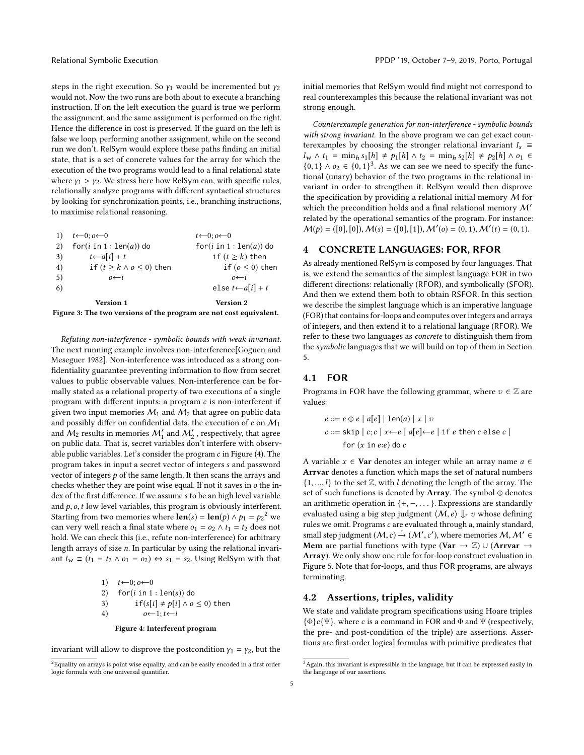steps in the right execution. So  $\gamma_1$  would be incremented but  $\gamma_2$ would not. Now the two runs are both about to execute a branching instruction. If on the left execution the guard is true we perform the assignment, and the same assignment is performed on the right. Hence the difference in cost is preserved. If the guard on the left is false we loop, performing another assignment, while on the second run we don't. RelSym would explore these paths finding an initial state, that is a set of concrete values for the array for which the execution of the two programs would lead to a final relational state where  $\gamma_1 > \gamma_2$ . We stress here how RelSym can, with specific rules, relationally analyze programs with different syntactical structures by looking for synchronization points, i.e., branching instructions, to maximise relational reasoning.

<span id="page-4-1"></span>

| Figure 3: The two versions of the program are not cost equivalent. |                                     |                                  |  |  |  |
|--------------------------------------------------------------------|-------------------------------------|----------------------------------|--|--|--|
|                                                                    | Version 1                           | <b>Version 2</b>                 |  |  |  |
| 6)                                                                 |                                     | else $t \leftarrow a[i] + t$     |  |  |  |
| 5)                                                                 | $0 \leftarrow i$                    | $0 \leftarrow i$                 |  |  |  |
| 4)                                                                 | if $(t \geq k \land o \leq 0)$ then | if $(o \leq 0)$ then             |  |  |  |
| 3)                                                                 | $t \leftarrow a[i] + t$             | if $(t \geq k)$ then             |  |  |  |
| 2)                                                                 | $for(i in 1: len(a))$ do            | $for(i in 1: len(a))$ do         |  |  |  |
|                                                                    | $t \leftarrow 0; o \leftarrow 0$    | $t \leftarrow 0: 0 \leftarrow 0$ |  |  |  |
|                                                                    |                                     |                                  |  |  |  |

Refuting non-interference - symbolic bounds with weak invariant. The next running example involves non-interference[\[Goguen and](#page-13-0) [Meseguer 1982\]](#page-13-0). Non-interference was introduced as a strong confidentiality guarantee preventing information to flow from secret values to public observable values. Non-interference can be formally stated as a relational property of two executions of a single program with different inputs: a program c is non-interferent if given two input memories  $M_1$  and  $M_2$  that agree on public data and possibly differ on confidential data, the execution of  $c$  on  $M_1$ and  $\hat{\mathcal{M}}_2$  results in memories  $\mathcal{M}_1'$  and  $\mathcal{M}_2'$  , respectively, that agree on public data. That is, secret variables don't interfere with observable public variables. Let's consider the program c in Figure [\(4\)](#page-4-2). The program takes in input a secret vector of integers s and password vector of integers  $p$  of the same length. It then scans the arrays and checks whether they are point wise equal. If not it saves in o the index of the first difference. If we assume s to be an high level variable and  $p$ ,  $o$ ,  $t$  low level variables, this program is obviously interferent. Starting from two memories where  $\text{len}(s) = \text{len}(p) \wedge p_1 = p_2^2$  $\text{len}(s) = \text{len}(p) \wedge p_1 = p_2^2$  $\text{len}(s) = \text{len}(p) \wedge p_1 = p_2^2$  we<br>can very well reach a final state where  $q_1 = q_2 \wedge t_1 = t_2$  does not can very well reach a final state where  $o_1 = o_2 \wedge t_1 = t_2$  does not hold. We can check this (i.e., refute non-interference) for arbitrary length arrays of size n. In particular by using the relational invariant  $I_w \equiv (t_1 = t_2 \wedge o_1 = o_2) \Leftrightarrow s_1 = s_2$ . Using RelSym with that

> <span id="page-4-2"></span>1)  $t \leftarrow 0; o \leftarrow 0$ <br>2) for(*i* in 1 2) for(*i* in 1 : len(*s*)) do<br>3) if( $s[i] \neq p[i] \land o$ 3) if(s[i]  $\neq$  p[i]  $\land$  o  $\leq$  0) then<br>4)  $o \leftarrow 1$ ;  $t \leftarrow i$  $o \leftarrow 1; t \leftarrow i$

> > Figure 4: Interferent program

invariant will allow to disprove the postcondition  $y_1 = y_2$ , but the

initial memories that RelSym would find might not correspond to real counterexamples this because the relational invariant was not strong enough.

Counterexample generation for non-interference - symbolic bounds with strong invariant. In the above program we can get exact counterexamples by choosing the stronger relational invariant  $I_s \equiv$  $I_w \wedge t_1 = \min_h s_1[h] \neq p_1[h] \wedge t_2 = \min_h s_2[h] \neq p_2[h] \wedge o_1 \in$  $I_w \wedge t_1 = \min_h s_1[h] \neq p_1[h] \wedge t_2 = \min_h s_2[h] \neq p_2[h] \wedge o_1 \in$  $I_w \wedge t_1 = \min_h s_1[h] \neq p_1[h] \wedge t_2 = \min_h s_2[h] \neq p_2[h] \wedge o_1 \in$  ${0, 1} \wedge o_2 \in {0, 1}^3$ . As we can see we need to specify the func-<br>tional (upary) behavior of the two programs in the relational intional (unary) behavior of the two programs in the relational invariant in order to strengthen it. RelSym would then disprove the specification by providing a relational initial memory  $M$  for which the precondition holds and a final relational memory  $\mathcal{M}'$ related by the operational semantics of the program. For instance:  $M(p) = ([0], [0]), M(s) = ([0], [1]), M'(o) = (0, 1), M'(t) = (0, 1).$ 

## <span id="page-4-0"></span>4 CONCRETE LANGUAGES: FOR, RFOR

As already mentioned RelSym is composed by four languages. That is, we extend the semantics of the simplest language FOR in two different directions: relationally (RFOR), and symbolically (SFOR). And then we extend them both to obtain RSFOR. In this section we describe the simplest language which is an imperative language (FOR) that contains for-loops and computes over integers and arrays of integers, and then extend it to a relational language (RFOR). We refer to these two languages as concrete to distinguish them from the symbolic languages that we will build on top of them in Section [5.](#page-6-0)

# 4.1 FOR

Programs in FOR have the following grammar, where  $v \in \mathbb{Z}$  are values:

$$
e ::= e \oplus e | a[e] | len(a) | x | v
$$
  
\n
$$
c ::= skip | c; c | x \leftarrow e | a[e] \leftarrow e | if e then c else c |
$$
  
\n
$$
for (x in e:e) do c
$$

A variable  $x \in \textbf{Var}$  denotes an integer while an array name  $a \in \textbf{Var}$ Arrvar denotes a function which maps the set of natural numbers  $\{1, ..., l\}$  to the set  $\mathbb{Z}$ , with  $l$  denoting the length of the array. The set of such functions is denoted by Array. The symbol  $\oplus$  denotes an arithmetic operation in  $\{+, -, \dots\}$ . Expressions are standardly evaluated using a big step judgment  $\langle M, e \rangle \Downarrow_{F} v$  whose defining rules we omit. Programs  $c$  are evaluated through a, mainly standard, small step judgment  $(M, c) \xrightarrow{F} (M', c')$ , where memories  $M, M' \in$ <br>**Mem** are partial functions with type  $(Nar \rightarrow \mathbb{Z}) \cup (Arrayar \rightarrow$ Mem are partial functions with type (Var  $\rightarrow \mathbb{Z}$ ) ∪ (Arrvar  $\rightarrow$ Array). We only show one rule for for-loop construct evaluation in Figure [5.](#page-5-0) Note that for-loops, and thus FOR programs, are always terminating.

#### 4.2 Assertions, triples, validity

We state and validate program specifications using Hoare triples  ${\Phi}c{\Psi}$ , where c is a command in FOR and  $\Phi$  and  $\Psi$  (respectively, the pre- and post-condition of the triple) are assertions. Assertions are first-order logical formulas with primitive predicates that

<span id="page-4-3"></span><sup>&</sup>lt;sup>2</sup>Equality on arrays is point wise equality, and can be easily encoded in a first order logic formula with one universal quantifier.

<span id="page-4-4"></span> $3$ Again, this invariant is expressible in the language, but it can be expressed easily in the language of our assertions.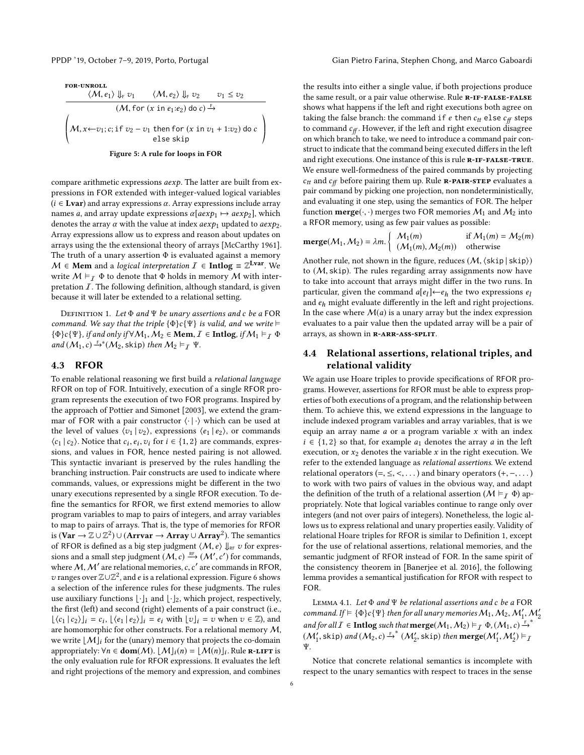Figure 5: A rule for loops in FOR

ª ®

compare arithmetic expressions aexp. The latter are built from expressions in FOR extended with integer-valued logical variables  $(i \in \text{Lvar})$  and array expressions  $\alpha$ . Array expressions include array names a, and array update expressions  $\alpha$ [ $a \exp_1 \rightarrow a \exp_2$ ], which denotes the array  $\alpha$  with the value at index  $a \exp_1$  updated to  $a \exp_2$ . Array expressions allow us to express and reason about updates on arrays using the the extensional theory of arrays [\[McCarthy 1961\]](#page-13-21). The truth of a unary assertion  $\Phi$  is evaluated against a memory  $M \in \textbf{Mem}$  and a logical interpretation  $I \in \textbf{Intlog} \equiv \mathbb{Z}^{\textbf{Lvar}}$ . We write  $M \vDash_{\mathcal{T}} \Phi$  to denote that  $\Phi$  holds in memory M with interpretation  $I$ . The following definition, although standard, is given because it will later be extended to a relational setting.

<span id="page-5-1"></span>DEFINITION 1. Let  $\Phi$  and  $\Psi$  be unary assertions and c be a FOR command. We say that the triple  $\{\Phi\}c\{\Psi\}$  is valid, and we write  $\models$  ${\Phi}_{c}\{\Psi\}$ , if and only if  $\forall M_1, M_2 \in \textbf{Mem}, \mathcal{I} \in \textbf{Intlog}, \text{ if } M_1 \vDash \top \Phi$ and  $(M_1, c) \stackrel{F}{\rightarrow}^* (M_2, \text{skip})$  then  $M_2 \vDash_T \Psi$ .

#### 4.3 RFOR

To enable relational reasoning we first build a relational language RFOR on top of FOR. Intuitively, execution of a single RFOR program represents the execution of two FOR programs. Inspired by the approach of [Pottier and Simonet](#page-13-8) [\[2003\]](#page-13-8), we extend the grammar of FOR with a pair constructor  $\langle \cdot | \cdot \rangle$  which can be used at the level of values  $\langle v_1 | v_2 \rangle$ , expressions  $\langle e_1 | e_2 \rangle$ , or commands  $\langle c_1 | c_2 \rangle$ . Notice that  $c_i, e_i, v_i$  for  $i \in \{1, 2\}$  are commands, expressions and values in  $EOP$  bence nested pairing is not allowed  $(c_1 | c_2)$ . Notice that  $c_i, e_i, v_i$  for  $i \in \{1, 2\}$  are commands, expressions, and values in FOR, hence nested pairing is not allowed. This syntactic invariant is preserved by the rules handling the branching instruction. Pair constructs are used to indicate where commands, values, or expressions might be different in the two unary executions represented by a single RFOR execution. To define the semantics for RFOR, we first extend memories to allow program variables to map to pairs of integers, and array variables to map to pairs of arrays. That is, the type of memories for RFOR is ( $Var \rightarrow \mathbb{Z} \cup \mathbb{Z}^2$ )∪ (Arrvar  $\rightarrow$  Array ∪ Array<sup>2</sup>). The semantics of RFOR is defined as a big step judgment  $\langle M, e \rangle \Downarrow_{RF} v$  for expressions and a small step judgment  $(M, c) \stackrel{\text{RF}}{\longrightarrow} (M', c')$  for commands, where M, M' are relational memories, c, c' are commands in RFOR,<br>z) ranges over  $\mathbb{Z} \cup \mathbb{Z}^2$  and g is a relational expression. Figure 6 shows v ranges over  $\mathbb{Z}\cup\mathbb{Z}^2$ , and e is a relational expression. Figure [6](#page-6-1) shows<br>a selection of the inference rules for these judgments. The rules a selection of the inference rules for these judgments. The rules use auxiliary functions  $\lfloor \cdot \rfloor_1$  and  $\lfloor \cdot \rfloor_2$ , which project, respectively, the first (left) and second (right) elements of a pair construct (i.e.,  $[\langle c_1 | c_2 \rangle]_i = c_i, [\langle e_1 | e_2 \rangle]_i = e_i$  with  $[v]_i = v$  when  $v \in \mathbb{Z}$ ), and are homomorphic for other constructs. For a relational memory M are homomorphic for other constructs. For a relational memory  $M$ , we write  $[M]_i$  for the (unary) memory that projects the co-domain appropriately:  $\forall n \in \text{dom}(M)$ .  $[M]_i(n) = [M(n)]_i$ . Rule **R-LIFT** is<br>the only evolution rule for PEOP expressions. It evolutes the left the only evaluation rule for RFOR expressions. It evaluates the left and right projections of the memory and expression, and combines

<span id="page-5-0"></span>PPDP '19, October 7-9, 2019, Porto, Portugal Gian Pietro Farina, Stephen Chong, and Marco Gaboardi

the results into either a single value, if both projections produce the same result, or a pair value otherwise. Rule R-IF-FALSE-FALSE shows what happens if the left and right executions both agree on taking the false branch: the command if e then  $c_{tt}$  else  $c_{ff}$  steps to command  $c_f$ . However, if the left and right execution disagree on which branch to take, we need to introduce a command pair construct to indicate that the command being executed differs in the left and right executions. One instance of this is rule R-IF-FALSE-TRUE. We ensure well-formedness of the paired commands by projecting  $c_{tt}$  and  $c_{ff}$  before pairing them up. Rule **R-PAIR-STEP** evaluates a pair command by picking one projection, non nondeterministically, and evaluating it one step, using the semantics of FOR. The helper function **merge**( $\cdot$ , $\cdot$ ) merges two FOR memories  $M_1$  and  $M_2$  into a RFOR memory, using as few pair values as possible:

$$
\text{merge}(\mathcal{M}_1, \mathcal{M}_2) = \lambda m. \begin{cases} \mathcal{M}_1(m) & \text{if } \mathcal{M}_1(m) = \mathcal{M}_2(m) \\ (\mathcal{M}_1(m), \mathcal{M}_2(m)) & \text{otherwise} \end{cases}
$$

Another rule, not shown in the figure, reduces  $(M, \langle \text{skip} \rangle | \text{skip} | \text{skip} \rangle)$ to  $(M, skip)$ . The rules regarding array assignments now have to take into account that arrays might differ in the two runs. In particular, given the command  $a[e_l] \leftarrow e_h$  the two expressions  $e_l$ <br>and  $e_l$  might evaluate differently in the left and right projections and  $e_h$  might evaluate differently in the left and right projections. In the case where  $M(a)$  is a unary array but the index expression evaluates to a pair value then the updated array will be a pair of arrays, as shown in R-ARR-ASS-SPLIT.

# <span id="page-5-2"></span>4.4 Relational assertions, relational triples, and relational validity

We again use Hoare triples to provide specifications of RFOR programs. However, assertions for RFOR must be able to express properties of both executions of a program, and the relationship between them. To achieve this, we extend expressions in the language to include indexed program variables and array variables, that is we equip an array name  $a$  or a program variable  $x$  with an index  $i \in \{1, 2\}$  so that, for example  $a_1$  denotes the array a in the left execution, or  $x_2$  denotes the variable  $x$  in the right execution. We refer to the extended language as relational assertions. We extend relational operators  $(=, \leq, \leq, \ldots)$  and binary operators  $(+, -, \ldots)$ to work with two pairs of values in the obvious way, and adapt the definition of the truth of a relational assertion ( $M \vDash$   $\tau \Phi$ ) appropriately. Note that logical variables continue to range only over integers (and not over pairs of integers). Nonetheless, the logic allows us to express relational and unary properties easily. Validity of relational Hoare triples for RFOR is similar to Definition [1,](#page-5-1) except for the use of relational assertions, relational memories, and the semantic judgment of RFOR instead of FOR. In the same spirit of the consistency theorem in [\[Banerjee et al.](#page-12-14) [2016\]](#page-12-14), the following lemma provides a semantical justification for RFOR with respect to FOR.

LEMMA 4.1. Let  $\Phi$  and  $\Psi$  be relational assertions and c be a FOR command. If  $\models {\Phi}c{\Psi}$  then for all unary memories  $M_1, M_2, M'_1, M'_2$ and for all  $I \in$  **Intlog** such that  $\mathbf{merge}(M_1, M_2) \vDash_I \Phi, (M_1, c) \vDash^{F,*}$ <br>  $(M_1, \text{el}, \text{el}, \text{el}, M_2) \vDash^{F,*} (M_1, \text{el}, \text{el}, \text{el}, \text{el}, M_1, M_2) \vDash^{F,*}$  $(M'_1, \text{skip})$  and  $(M_2, c) \stackrel{\epsilon}{\rightarrow}^* (M'_2, \text{skip})$  then  $\text{merge}(M'_1, M'_2) \vDash_I$ Ψ.

Notice that concrete relational semantics is incomplete with respect to the unary semantics with respect to traces in the sense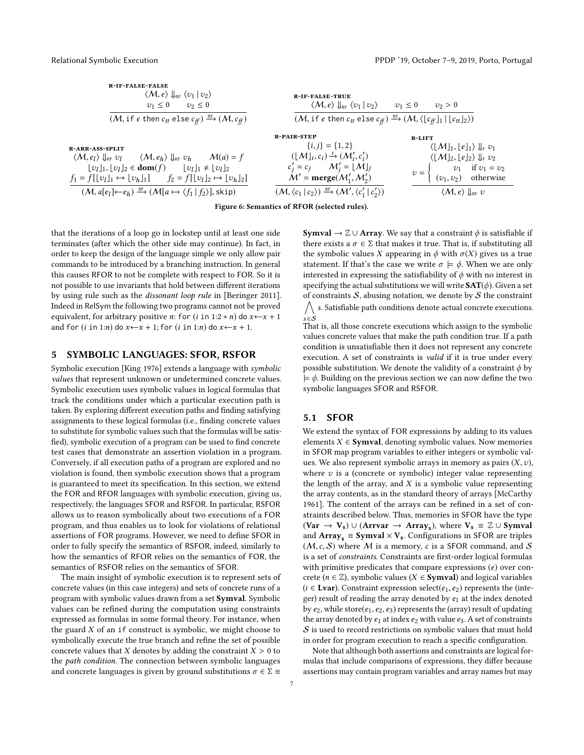<span id="page-6-1"></span>

| <b>R-IF-FALSE-FALSE</b><br>$\langle M, e \rangle \Downarrow_{\text{RF}} \langle v_1   v_2 \rangle$<br>$v_1 \leq 0$<br>$v_2 \leq 0$<br>$(M, \text{if } e \text{ then } c_{tt} \text{ else } c_{ff}) \xrightarrow{\text{RF}} (M, c_{ff})$                                                                                                                                                        | <b>R-IF-FALSE-TRUE</b><br>$\langle \mathcal{M}, e \rangle \Downarrow_{\scriptscriptstyle \text{RF}} \langle v_1 \,   \, v_2 \rangle$<br>$(M, \text{if } e \text{ then } c_{tt} \text{ else } c_{ff}) \xrightarrow{\text{RF}} (M, \langle \lfloor c_{ff} \rfloor_1   \lfloor c_{tt} \rfloor_2 \rangle).$                                                | $v_1 \leq 0$<br>$v_2 > 0$                                                                                                                                                                                                                                               |
|------------------------------------------------------------------------------------------------------------------------------------------------------------------------------------------------------------------------------------------------------------------------------------------------------------------------------------------------------------------------------------------------|--------------------------------------------------------------------------------------------------------------------------------------------------------------------------------------------------------------------------------------------------------------------------------------------------------------------------------------------------------|-------------------------------------------------------------------------------------------------------------------------------------------------------------------------------------------------------------------------------------------------------------------------|
| <b>R-ARR-ASS-SPLIT</b><br>$\langle M, e_l \rangle \Downarrow_{\text{RF}} v_l$ $\langle M, e_h \rangle \Downarrow_{\text{RF}} v_h$ $M(a) = f$<br>$[v_l]_1, [v_l]_2 \in \text{dom}(f)$ $[v_l]_1 \neq [v_l]_2$<br>$f_1 = f[[v_l]_1 \mapsto [v_h]_1]$ $f_2 = f[[v_l]_2 \mapsto [v_h]_2]$<br>$(M, a[e_1] \leftarrow e_h) \xrightarrow{\mathbb{R}^F} (M[a \mapsto \langle f_1   f_2 \rangle],$ skip) | <b>R-PAIR-STEP</b><br>$\{i,j\} = \{1,2\}$<br>$([M]_i, c_i) \stackrel{\mathbb{F}}{\rightarrow} (\mathcal{M}'_i, c'_i)$<br>$c'_j = c_j$ $\mathcal{M}'_i = \lfloor \mathcal{M} \rfloor_j$<br>$M'$ = merge( $M'_1, M'_2$ )<br>$(\mathcal{M}, \langle c_1   c_2 \rangle) \stackrel{\text{RF}}{\longrightarrow} (\mathcal{M}', \langle c_1'   c_2' \rangle)$ | $R-LIFT$<br>$\langle  M _1,  e _1 \rangle \Downarrow_{\rm F} v_1$<br>$\langle \lfloor M \rfloor_2, \lfloor e \rfloor_2 \rangle \Downarrow_F v_2$<br>$v_1$ if $v_1 = v_2$<br>$(v_1, v_2)$ otherwise<br>$v =$<br>$\langle \mathcal{M}, e \rangle \parallel_{\text{RF}} v$ |

Figure 6: Semantics of RFOR (selected rules).

that the iterations of a loop go in lockstep until at least one side terminates (after which the other side may continue). In fact, in order to keep the design of the language simple we only allow pair commands to be introduced by a branching instruction. In general this causes RFOR to not be complete with respect to FOR. So it is not possible to use invariants that hold between different iterations by using rule such as the dissonant loop rule in [\[Beringer 2011\]](#page-12-15). Indeed in RelSym the following two programs cannot not be proved equivalent, for arbitrary positive *n*: for (*i* in 1:2  $*$  *n*) do  $x \leftarrow x + 1$ and for  $(i \text{ in } 1:n)$  do  $x \leftarrow x + 1$ ; for  $(i \text{ in } 1:n)$  do  $x \leftarrow x + 1$ .

#### <span id="page-6-0"></span>5 SYMBOLIC LANGUAGES: SFOR, RSFOR

Symbolic execution [\[King 1976\]](#page-13-19) extends a language with symbolic values that represent unknown or undetermined concrete values. Symbolic execution uses symbolic values in logical formulas that track the conditions under which a particular execution path is taken. By exploring different execution paths and finding satisfying assignments to these logical formulas (i.e., finding concrete values to substitute for symbolic values such that the formulas will be satisfied), symbolic execution of a program can be used to find concrete test cases that demonstrate an assertion violation in a program. Conversely, if all execution paths of a program are explored and no violation is found, then symbolic execution shows that a program is guaranteed to meet its specification. In this section, we extend the FOR and RFOR languages with symbolic execution, giving us, respectively, the languages SFOR and RSFOR. In particular, RSFOR allows us to reason symbolically about two executions of a FOR program, and thus enables us to look for violations of relational assertions of FOR programs. However, we need to define SFOR in order to fully specify the semantics of RSFOR, indeed, similarly to how the semantics of RFOR relies on the semantics of FOR, the semantics of RSFOR relies on the semantics of SFOR.

The main insight of symbolic execution is to represent sets of concrete values (in this case integers) and sets of concrete runs of a program with symbolic values drawn from a set Symval. Symbolic values can be refined during the computation using constraints expressed as formulas in some formal theory. For instance, when the guard  $X$  of an if construct is symbolic, we might choose to symbolically execute the true branch and refine the set of possible concrete values that  $X$  denotes by adding the constraint  $X > 0$  to the path condition. The connection between symbolic languages and concrete languages is given by ground substitutions  $\sigma \in \Sigma$  **Symval**  $\rightarrow \mathbb{Z} \cup$  **Array**. We say that a constraint  $\phi$  is satisfiable if there exists a  $\sigma \in \Sigma$  that makes it true. That is, if substituting all the symbolic values X appearing in  $\phi$  with  $\sigma(X)$  gives us a true statement. If that's the case we write  $\sigma \models \phi$ . When we are only interested in expressing the satisfiability of  $\phi$  with no interest in specifying the actual substitutions we will write  $SAT(\phi)$ . Given a set of constraints  $S$ , abusing notation, we denote by  $S$  the constraint  $\overline{1}$ s. Satisfiable path conditions denote actual concrete executions.

 $s \in \dot{S}$ That is, all those concrete executions which assign to the symbolic values concrete values that make the path condition true. If a path condition is unsatisfiable then it does not represent any concrete execution. A set of constraints is valid if it is true under every possible substitution. We denote the validity of a constraint  $\phi$  by  $\models \phi$ . Building on the previous section we can now define the two symbolic languages SFOR and RSFOR.

#### 5.1 SFOR

We extend the syntax of FOR expressions by adding to its values elements  $X \in \text{Symval}$ , denoting symbolic values. Now memories in SFOR map program variables to either integers or symbolic values. We also represent symbolic arrays in memory as pairs  $(X, v)$ , where  $v$  is a (concrete or symbolic) integer value representing the length of the array, and  $X$  is a symbolic value representing the array contents, as in the standard theory of arrays [\[McCarthy](#page-13-21) [1961\]](#page-13-21). The content of the arrays can be refined in a set of constraints described below. Thus, memories in SFOR have the type  $(Var \rightarrow V_s) \cup (Array_s \rightarrow Array_s)$ , where  $V_s \equiv \mathbb{Z} \cup Symval$ and  $Array_s \equiv Symval \times V_s$ . Configurations in SFOR are triples  $(M, c, S)$  where M is a memory, c is a SFOR command, and S is a set of constraints. Constraints are first-order logical formulas with primitive predicates that compare expressions  $(e)$  over concrete ( $n \in \mathbb{Z}$ ), symbolic values ( $X \in \text{Symval}$ ) and logical variables  $(i \in \text{Lvar})$ . Constraint expression select $(e_1, e_2)$  represents the (integer) result of reading the array denoted by  $e_1$  at the index denoted by  $e_2$ , while store( $e_1, e_2, e_3$ ) represents the (array) result of updating the array denoted by  $e_1$  at index  $e_2$  with value  $e_3$ . A set of constraints  $S$  is used to record restrictions on symbolic values that must hold in order for program execution to reach a specific configuration.

Note that although both assertions and constraints are logical formulas that include comparisons of expressions, they differ because assertions may contain program variables and array names but may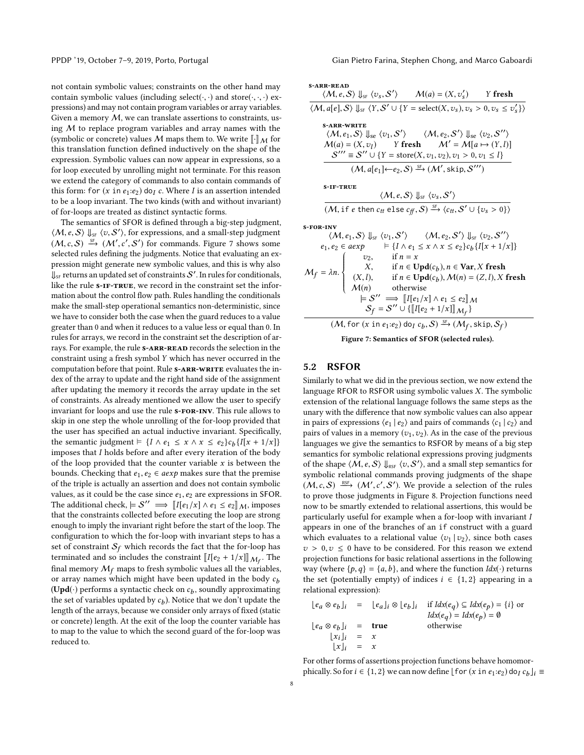PPDP '19, October 7-9, 2019, Porto, Portugal Gian Pietro Farina, Stephen Chong, and Marco Gaboardi

not contain symbolic values; constraints on the other hand may contain symbolic values (including select( $\cdot$ , $\cdot$ ) and store( $\cdot$ , $\cdot$ , $\cdot$ ) expressions) and may not contain program variables or array variables. Given a memory  $M$ , we can translate assertions to constraints, using  $M$  to replace program variables and array names with the (symbolic or concrete) values M maps them to. We write  $\llbracket \cdot \rrbracket_M$  for this translation function defined inductively on the shape of the expression. Symbolic values can now appear in expressions, so a for loop executed by unrolling might not terminate. For this reason we extend the category of commands to also contain commands of this form: for  $(x \text{ in } e_1: e_2)$  do<sub>*I*</sub> c. Where *I* is an assertion intended to be a loop invariant. The two kinds (with and without invariant) of for-loops are treated as distinct syntactic forms.

The semantics of SFOR is defined through a big-step judgment,  $\langle M, e, S \rangle$   $\parallel_{SF} \langle v, S' \rangle$ , for expressions, and a small-step judgment  $(M, e, S)$   $\stackrel{\text{SF}}{=} (M', e', S')$  for commands. Figure 7 shows some  $(M, c, S) \xrightarrow{\mathcal{S}_+} (M', c', S')$  for commands. Figure [7](#page-7-0) shows some selected rules defining the judgments. Notice that evaluating an exselected rules defining the judgments. Notice that evaluating an expression might generate new symbolic values, and this is why also  $\hat{\mathbb{J}}_{\mathsf{SF}}$  returns an updated set of constraints  $\mathcal{S}'$  . In rules for conditionals, like the rule  $s$ -IF-TRUE, we record in the constraint set the information about the control flow path. Rules handling the conditionals make the small-step operational semantics non-deterministic, since we have to consider both the case when the guard reduces to a value greater than 0 and when it reduces to a value less or equal than 0. In rules for arrays, we record in the constraint set the description of arrays. For example, the rule  $s$ -ARR-READ records the selection in the constraint using a fresh symbol Y which has never occurred in the computation before that point. Rule **s-ARR-WRITE** evaluates the index of the array to update and the right hand side of the assignment after updating the memory it records the array update in the set of constraints. As already mentioned we allow the user to specify invariant for loops and use the rule  $s$ -FOR-INV. This rule allows to skip in one step the whole unrolling of the for-loop provided that the user has specified an actual inductive invariant. Specifically, the semantic judgment  $\models \{I \land e_1 \leq x \land x \leq e_2\}c_b\{I[x + 1/x]\}$ <br>imposes that I holds before and after every iteration of the body imposes that I holds before and after every iteration of the body of the loop provided that the counter variable  $x$  is between the bounds. Checking that  $e_1, e_2 \in a \exp$  makes sure that the premise of the triple is actually an assertion and does not contain symbolic values, as it could be the case since  $e_1, e_2$  are expressions in SFOR. The additional check,  $\vert = S'' \implies \llbracket I[e_1/x] \wedge e_1 \le e_2 \rrbracket_{\mathcal{M}}$ , imposes<br>that the constraints collected before executing the loop are strong that the constraints collected before executing the loop are strong enough to imply the invariant right before the start of the loop. The configuration to which the for-loop with invariant steps to has a set of constraint  $S_f$  which records the fact that the for-loop has terminated and so includes the constraint  $[[I(e_2 + 1/x)]]_{\mathcal{M}_f}$ . The final memory  $M_f$  maps to fresh symbolic values all the variables, or array names which might have been updated in the body  $c_b$  $(Upd(\cdot))$  performs a syntactic check on  $c_b$ , soundly approximating<br>the set of variables undated by  $c_1$ ). Notice that we don't undate the the set of variables updated by  $c_b$ ). Notice that we don't update the langth of the arrays because we consider only arrays of fixed (station length of the arrays, because we consider only arrays of fixed (static or concrete) length. At the exit of the loop the counter variable has to map to the value to which the second guard of the for-loop was reduced to.

<span id="page-7-0"></span>

| <b>S-ARR-READ</b><br>$\langle M, e, S \rangle \Downarrow_{\text{SF}} \langle v_s, S' \rangle$ $M(a) = (X, v'_s)$ Y fresh                                                                                                                                                                                                                                                                                                                                                                                                                                                                                                                                                                                                    |  |  |  |  |  |  |
|-----------------------------------------------------------------------------------------------------------------------------------------------------------------------------------------------------------------------------------------------------------------------------------------------------------------------------------------------------------------------------------------------------------------------------------------------------------------------------------------------------------------------------------------------------------------------------------------------------------------------------------------------------------------------------------------------------------------------------|--|--|--|--|--|--|
| $\langle M, a[e], S \rangle \Downarrow_{\mathcal{S}^F} \langle Y, S' \cup \{Y = \text{select}(X, v_s), v_s > 0, v_s \le v'_s \} \rangle$                                                                                                                                                                                                                                                                                                                                                                                                                                                                                                                                                                                    |  |  |  |  |  |  |
| <b>S-ARR-WRITE</b><br>$\langle M, e_1, S \rangle \Downarrow_{\text{se}} \langle v_1, S' \rangle$ $\langle M, e_2, S' \rangle \Downarrow_{\text{se}} \langle v_2, S'' \rangle$<br>$M(a) = (X, v_1)$ Y fresh $M' = M[a \mapsto (Y, l)]$<br>$S''' \equiv S'' \cup \{Y = store(X, v_1, v_2), v_1 > 0, v_1 \le l\}$                                                                                                                                                                                                                                                                                                                                                                                                              |  |  |  |  |  |  |
| $(M, a[e_1] \leftarrow e_2, S) \stackrel{\text{SF}}{\longrightarrow} (M', \text{skip}, S''')$                                                                                                                                                                                                                                                                                                                                                                                                                                                                                                                                                                                                                               |  |  |  |  |  |  |
| <b>S-IF-TRUE</b><br>$\langle \mathcal{M}, \mathbf{e}, \mathcal{S} \rangle$ $\mathbf{e} \times \langle v_{\mathbf{s}}, \mathcal{S}' \rangle$                                                                                                                                                                                                                                                                                                                                                                                                                                                                                                                                                                                 |  |  |  |  |  |  |
| $(M, \text{if } e \text{ then } c_{tt} \text{ else } c_{ff}, S) \xrightarrow{\text{SF}} \langle c_{tt}, S' \cup \{v_s > 0\} \rangle$                                                                                                                                                                                                                                                                                                                                                                                                                                                                                                                                                                                        |  |  |  |  |  |  |
| <b>S-FOR-INV</b><br>$\langle M, e_1, S \rangle \Downarrow_{\text{SF}} \langle v_1, S' \rangle$ $\langle M, e_2, S' \rangle \Downarrow_{\text{SF}} \langle v_2, S'' \rangle$<br>$e_1, e_2 \in aexp \qquad \vDash \{I \land e_1 \leq x \land x \leq e_2\} c_b \{I[x + 1/x]\}$<br>$M_f = \lambda n$ .<br>$\begin{cases}\n\begin{cases}\n v_2, & \text{if } n = x \\  X, & \text{if } n \in \text{Upd}(c_b), n \in \text{Var}, X \text{ fresh} \\  (X, l), & \text{if } n \in \text{Upd}(c_b), \mathcal{M}(n) = (Z, l), X \text{ fresh}\n\end{cases} \\ \mathcal{M}(n) \qquad \text{otherwise}\n\end{cases}$<br>$\models S'' \implies [[e_1/x] \wedge e_1 \le e_2]]_M$<br>$S_f = S'' \cup \{ [I[e_2 + 1/x]]_{\mathcal{M}_f} \}$ |  |  |  |  |  |  |
| $(M,$ for $(x \text{ in } e_1: e_2)$ do <sub>I</sub> $c_b$ , $S) \stackrel{\text{SF}}{\rightarrow} (M_f, \text{skip}, S_f)$                                                                                                                                                                                                                                                                                                                                                                                                                                                                                                                                                                                                 |  |  |  |  |  |  |

Figure 7: Semantics of SFOR (selected rules).

#### 5.2 RSFOR

Similarly to what we did in the previous section, we now extend the language RFOR to RSFOR using symbolic values X. The symbolic extension of the relational language follows the same steps as the unary with the difference that now symbolic values can also appear in pairs of expressions  $\langle e_1 | e_2 \rangle$  and pairs of commands  $\langle c_1 | c_2 \rangle$  and pairs of values in a memory  $(v_1, v_2)$ . As in the case of the previous languages we give the semantics to RSFOR by means of a big step semantics for symbolic relational expressions proving judgments of the shape  $\langle M, e, S \rangle \downarrow_{\text{RSF}} \langle v, S' \rangle$ , and a small step semantics for<br>symbolic relational commands proving judgments of the shape symbolic relational commands proving judgments of the shape  $(M, c, S) \xrightarrow{\text{RSE}} (M', c', S')$ . We provide a selection of the rules<br>to prove those judgments in Figure 8. Projection functions need ,c to prove those judgments in Figure [8.](#page-8-1) Projection functions need now to be smartly extended to relational assertions, this would be particularly useful for example when a for-loop with invariant I appears in one of the branches of an if construct with a guard which evaluates to a relational value  $\langle v_1 | v_2 \rangle$ , since both cases  $v > 0, v \le 0$  have to be considered. For this reason we extend projection functions for basic relational assertions in the following way (where  $\{p,q\} = \{a,b\}$ , and where the function  $\text{Idx}(\cdot)$  returns the set (potentially empty) of indices  $i \in \{1,2\}$  appearing in a relational expression):

$$
\begin{array}{rcl}\n[e_a \otimes e_b]_i & = & [e_a]_i \otimes [e_b]_i & \text{if } Idx(e_q) \subseteq Idx(e_p) = \{i\} \text{ or } \\
[e_a \otimes e_b]_i & = & \text{true} \\
[e_a \otimes e_b]_i & = & \text{true} \\
[x_i]_i & = & x \\
[x]_i & = & x\n\end{array}
$$

For other forms of assertions projection functions behave homomorphically. So for  $i \in \{1, 2\}$  we can now define  $\lfloor \text{for}(x \text{ in } e_1 : e_2) \text{ do}_I c_b \rfloor_i \equiv$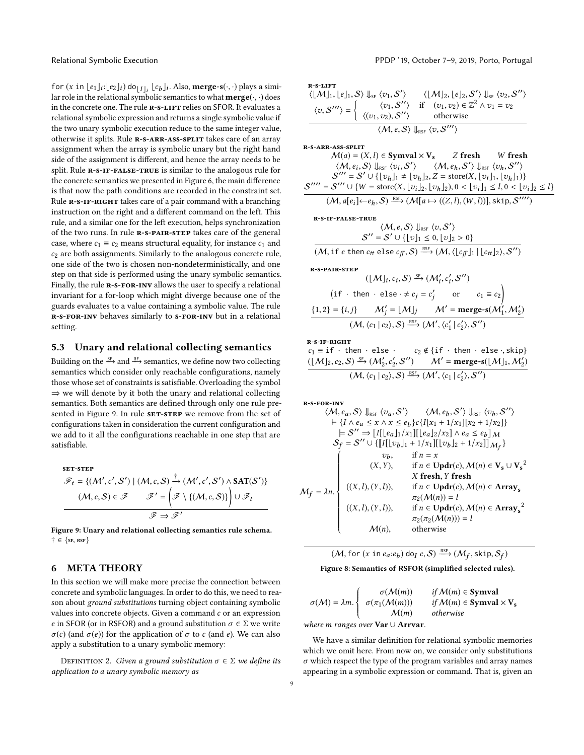for  $(x \text{ in } [e_1]_i : [e_2]_i)$  do  $[I]_i$   $[e_b]_i$ . Also, **merge-s** $(\cdot, \cdot)$  plays a simi-<br>lar role in the relational symbolic semantics to what **merge** $(\cdot, \cdot)$  does lar role in the relational symbolic semantics to what  $merge(\cdot, \cdot)$  does in the concrete one. The rule **R-S-LIFT** relies on SFOR. It evaluates a relational symbolic expression and returns a single symbolic value if the two unary symbolic execution reduce to the same integer value, otherwise it splits. Rule R-S-ARR-ASS-SPLIT takes care of an array assignment when the array is symbolic unary but the right hand side of the assignment is different, and hence the array needs to be split. Rule R-S-IF-FALSE-TRUE is similar to the analogous rule for the concrete semantics we presented in Figure [6,](#page-6-1) the main difference is that now the path conditions are recorded in the constraint set. Rule **R-S-IF-RIGHT** takes care of a pair command with a branching instruction on the right and a different command on the left. This rule, and a similar one for the left execution, helps synchronization of the two runs. In rule R-S-PAIR-STEP takes care of the general case, where  $c_1 \equiv c_2$  means structural equality, for instance  $c_1$  and  $c<sub>2</sub>$  are both assignments. Similarly to the analogous concrete rule, one side of the two is chosen non-nondeterministically, and one step on that side is performed using the unary symbolic semantics. Finally, the rule **R-S-FOR-INV** allows the user to specify a relational invariant for a for-loop which might diverge because one of the guards evaluates to a value containing a symbolic value. The rule r-s-for-inv behaves similarly to s-for-inv but in a relational setting.

#### 5.3 Unary and relational collecting semantics

Building on the  $\xrightarrow{\text{SF}}$  and  $\xrightarrow{\text{RF}}$  semantics, we define now two collecting semantics which consider only reachable configurations, namely those whose set of constraints is satisfiable. Overloading the symbol  $\Rightarrow$  we will denote by it both the unary and relational collecting semantics. Both semantics are defined through only one rule pre-sented in Figure [9.](#page-8-2) In rule SET-STEP we remove from the set of configurations taken in consideration the current configuration and we add to it all the configurations reachable in one step that are satisfiable.

<span id="page-8-2"></span>**SET-STEP**  
\n
$$
\mathscr{F}_t = \{ (M', c', S') \mid (M, c, S) \xrightarrow{\dagger} (M', c', S') \land SAT(S') \}
$$
\n
$$
(M, c, S) \in \mathscr{F} \qquad \mathscr{F}' = \left( \mathscr{F} \setminus \{ (M, c, S) \} \right) \cup \mathscr{F}_t
$$
\n
$$
\mathscr{F} \Rightarrow \mathscr{F}'
$$

Figure 9: Unary and relational collecting semantics rule schema.  $\dagger \in \{\text{sf}, \text{RSF}\}$ 

# <span id="page-8-0"></span>6 META THEORY

In this section we will make more precise the connection between concrete and symbolic languages. In order to do this, we need to reason about ground substitutions turning object containing symbolic values into concrete objects. Given a command  $c$  or an expression e in SFOR (or in RSFOR) and a ground substitution  $\sigma \in \Sigma$  we write σ(c) (and σ(e)) for the application of σ to c (and e). We can also apply a substitution to a unary symbolic memory:

DEFINITION 2. Given a ground substitution  $\sigma \in \Sigma$  we define its application to a unary symbolic memory as

Relational Symbolic Execution **PPDP** '19, October 7-9, 2019, Porto, Portugal

<span id="page-8-1"></span>R-S-LIFT  
\n
$$
\langle \lfloor M \rfloor_1, \lfloor e \rfloor_1, S \rangle \Downarrow_{\text{SF}} \langle v_1, S' \rangle \quad \langle \lfloor M \rfloor_2, \lfloor e \rfloor_2, S' \rangle \Downarrow_{\text{SF}} \langle v_2, S'' \rangle
$$
\n
$$
\langle v, S''' \rangle = \begin{cases} \langle v_1, S'' \rangle & \text{if } (v_1, v_2) \in \mathbb{Z}^2 \land v_1 = v_2 \\ \langle (v_1, v_2), S'' \rangle & \text{otherwise} \end{cases}
$$
\n
$$
\langle M, e, S \rangle \Downarrow_{\text{RSF}} \langle v, S''' \rangle
$$

r-s-arr-ass-split

$$
\mathcal{M}(a) = (X, l) \in \text{Symval} \times \text{V}_s \qquad Z \text{ fresh} \qquad W \text{ fresh}
$$
\n
$$
\langle \mathcal{M}, e_i, \mathcal{S} \rangle \downarrow_{\text{RSF}} \langle v_i, \mathcal{S}' \rangle \qquad \langle \mathcal{M}, e_h, \mathcal{S}' \rangle \downarrow_{\text{RSF}} \langle v_h, \mathcal{S}'' \rangle
$$
\n
$$
\mathcal{S}''' = \mathcal{S}' \cup \{ \lfloor v_h \rfloor_1 \neq \lfloor v_h \rfloor_2, Z = \text{store}(X, \lfloor v_i \rfloor_1, \lfloor v_h \rfloor_1) \}
$$
\n
$$
\mathcal{S}''' = \mathcal{S}''' \cup \{ W = \text{store}(X, \lfloor v_i \rfloor_2, \lfloor v_h \rfloor_2), 0 < \lfloor v_i \rfloor_1 \leq l, 0 < \lfloor v_i \rfloor_2 \leq l \}
$$
\n
$$
(\mathcal{M}, a[e_i] \leftarrow e_h, \mathcal{S}) \xrightarrow{\text{RSF}} (\mathcal{M}[a \mapsto ((Z, l), (W, l))], \text{skip}, \mathcal{S}'''' )
$$

R-S-IF-FALSE-TRUE  
\n
$$
\langle M, e, S \rangle \Downarrow_{RSF} \langle v, S' \rangle
$$
\n
$$
S'' = S' \cup \{ [v]_1 \le 0, [v]_2 > 0 \}
$$
\n
$$
(16.12 \times 10^{-11} \text{ m})^2 \cdot 10^{-185} \cdot (16.11 \times 10^{-11} \text{ m})^2
$$

 $(M, \text{if } e \text{ then } c_{tt} \text{ else } c_{ff}, \mathcal{S}) \xrightarrow{\text{RSF}} (M, \langle \lfloor c_{ff} \rfloor_1 | \lfloor c_{tt} \rfloor_2 \rangle, \mathcal{S}'')$ 

r-s-pair-step

$$
(\lfloor M \rfloor_i, c_i, S) \xrightarrow{\text{SF}} (M'_i, c'_i, S'')
$$
  
(if  $\cdot$  then  $\cdot$  else  $\cdot \neq c_j = c'_j$  or  $c_1 \equiv c_2$ )  

$$
\{1, 2\} = \{i, j\} \qquad M'_j = \lfloor M \rfloor_j \qquad M' = \text{merge-s}(M'_1, M'_2)
$$

$$
(M, \langle c_1 | c_2 \rangle, S) \xrightarrow{\text{RS}} (M', \langle c'_1 | c'_2 \rangle, S'')
$$

r-s-if-right

$$
\begin{array}{ll}\n\mathbf{c}_1 \equiv \text{if} \quad \text{then} \quad \text{else} \quad & \mathbf{c}_2 \notin \{\text{if} \quad \text{then} \quad \text{else} \cdot, \text{skip}\} \\
\frac{(\lfloor \mathcal{M} \rfloor_2, \mathbf{c}_2, \mathcal{S}) \xrightarrow{\text{SF}} (\mathcal{M}_2', \mathbf{c}_2', \mathcal{S}'')}{\mathcal{M}'} = \text{merge-s}(\lfloor \mathcal{M} \rfloor_1, \mathcal{M}_2') \\
\hline\n& (\mathcal{M}, \langle c_1 | c_2 \rangle, \mathcal{S}) \xrightarrow{\text{RS}} (\mathcal{M}', \langle c_1 | c_2' \rangle, \mathcal{S}'')\n\end{array}
$$

r-s-for-inv

$$
\langle M, e_a, S \rangle \Downarrow_{\text{RS}} \langle v_a, S' \rangle \quad \langle M, e_b, S' \rangle \Downarrow_{\text{RS}} \langle v_b, S'' \rangle
$$
\n
$$
\models \{I \land e_a \le x \land x \le e_b\} c \{I[x_1 + 1/x_1][x_2 + 1/x_2]\}
$$
\n
$$
\models S'' \Rightarrow [[I[e_a]_1/x_1][[e_a]_2/x_2] \land e_a \le e_b]_M
$$
\n
$$
S_f = S'' \cup \{[[I[[v_b]_1 + 1/x_1][[v_b]_2 + 1/x_2]]_M_f\}
$$
\n
$$
\downarrow \qquad \forall b, \qquad \text{if } n = x
$$
\n
$$
(X, Y), \qquad \text{if } n \in \text{Updr}(c), M(n) \in \text{V}_s \cup \text{V}_s^2
$$
\n
$$
X \text{ fresh}, Y \text{ fresh}
$$
\n
$$
\langle X, I \rangle, (Y, I), \qquad \text{if } n \in \text{Updr}(c), M(n) \in \text{Array}_s
$$
\n
$$
\pi_2(M(n)) = I
$$
\n
$$
((X, I), (Y, I)), \qquad \text{if } n \in \text{Updr}(c), M(n) \in \text{Array}_s^2
$$
\n
$$
\pi_2(\pi_2(M(n))) = I
$$
\n
$$
M(n), \qquad \text{otherwise}
$$

$$
(M, \text{for } (x \text{ in } e_a \text{:} e_b) \text{ do}_I c, S) \xrightarrow{\text{RS}} (M_f, \text{skip}, S_f)
$$

Figure 8: Semantics of RSFOR (simplified selected rules).

$$
\sigma(M) = \lambda m. \begin{cases}\n\sigma(M(m)) & \text{if } M(m) \in \mathbf{Symval} \\
\sigma(\pi_1(M(m))) & \text{if } M(m) \in \mathbf{Symval} \times \mathbf{V_s} \\
M(m) & \text{otherwise}\n\end{cases}
$$

where m ranges over  $\textbf{Var} \cup \textbf{Arrvar}$ .

We have a similar definition for relational symbolic memories which we omit here. From now on, we consider only substitutions  $\sigma$  which respect the type of the program variables and array names appearing in a symbolic expression or command. That is, given an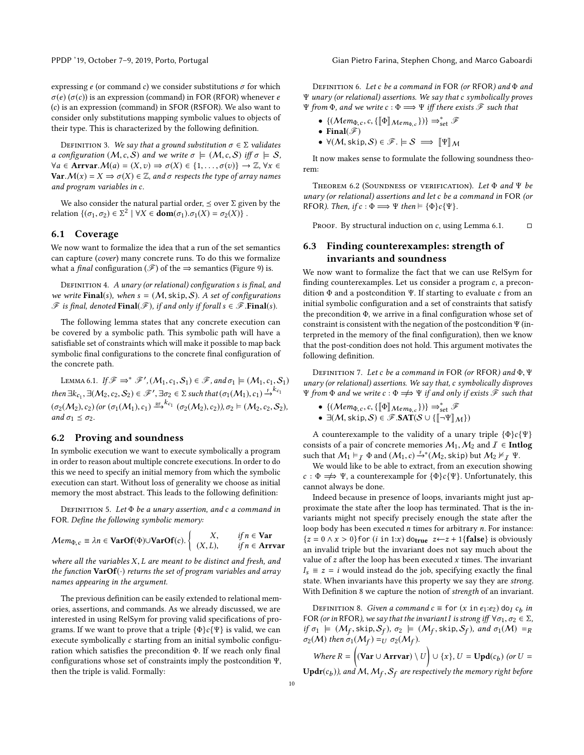PPDP '19, October 7-9, 2019, Porto, Portugal Gian Pietro Farina, Stephen Chong, and Marco Gaboardi

expressing  $e$  (or command  $c$ ) we consider substitutions  $\sigma$  for which  $\sigma(e)$  ( $\sigma(c)$ ) is an expression (command) in FOR (RFOR) whenever e (c) is an expression (command) in SFOR (RSFOR). We also want to consider only substitutions mapping symbolic values to objects of their type. This is characterized by the following definition.

DEFINITION 3. We say that a ground substitution  $\sigma \in \Sigma$  validates a configuration  $(M, c, S)$  and we write  $\sigma \models (M, c, S)$  iff  $\sigma \models S$ ,  $\forall a \in \text{Array}(a) = (X, v) \Rightarrow \sigma(X) \in \{1, \ldots, \sigma(v)\} \rightarrow \mathbb{Z}, \forall x \in$ **Var.**  $M(x) = X \Rightarrow \sigma(X) \in \mathbb{Z}$ , and  $\sigma$  respects the type of array names and program variables in c.

We also consider the natural partial order,  $\leq$  over  $\Sigma$  given by the relation  $\{(\sigma_1, \sigma_2) \in \Sigma^2 \mid \forall X \in \text{dom}(\sigma_1) . \sigma_1(X) = \sigma_2(X)\}\.$ 

## 6.1 Coverage

We now want to formalize the idea that a run of the set semantics can capture (cover) many concrete runs. To do this we formalize what a *final* configuration ( $\mathcal{F}$ ) of the  $\Rightarrow$  semantics (Figure [9\)](#page-8-2) is.

DEFINITION 4. A unary (or relational) configuration s is final, and we write Final(s), when  $s = (M, \text{skip}, S)$ . A set of configurations  $\mathscr F$  is final, denoted Final( $\mathscr F$ ), if and only if forall  $s \in \mathscr F$ . Final(s).

The following lemma states that any concrete execution can be covered by a symbolic path. This symbolic path will have a satisfiable set of constraints which will make it possible to map back symbolic final configurations to the concrete final configuration of the concrete path.

<span id="page-9-1"></span>LEMMA 6.1. If  $\mathcal{F} \Rightarrow^* \mathcal{F}'$ ,  $(M_1, c_1, S_1) \in \mathcal{F}$ , and  $\sigma_1 \models (M_1, c_1, S_1)$ then  $\exists k_{c_1}, \exists (M_2, c_2, S_2) \in \mathscr{F}', \exists \sigma_2 \in \Sigma$  such that  $(\sigma_1(M_1), c_1) \stackrel{\epsilon}{\rightarrow}^{k_{c_1}}$  $(\sigma_2(M_2), c_2)$  (or  $(\sigma_1(M_1), c_1) \stackrel{RF}{\longrightarrow}^{kc_1} (\sigma_2(M_2), c_2)$ ),  $\sigma_2 \vDash (M_2, c_2, S_2)$ , and  $\sigma_1 \leq \sigma_2$ .

## 6.2 Proving and soundness

In symbolic execution we want to execute symbolically a program in order to reason about multiple concrete executions. In order to do this we need to specify an initial memory from which the symbolic execution can start. Without loss of generality we choose as initial memory the most abstract. This leads to the following definition:

DEFINITION 5. Let  $\Phi$  be a unary assertion, and c a command in FOR. Define the following symbolic memory:

$$
\mathcal{M}em_{\Phi,c} \equiv \lambda n \in \mathbf{VarOf}(\Phi) \cup \mathbf{VarOf}(c). \begin{cases} X, & \text{if } n \in \mathbf{Var} \\ (X, L), & \text{if } n \in \mathbf{Arrvar} \end{cases}
$$

where all the variables X, L are meant to be distinct and fresh, and the function  $\text{VarOf}(\cdot)$  returns the set of program variables and array names appearing in the argument.

The previous definition can be easily extended to relational memories, assertions, and commands. As we already discussed, we are interested in using RelSym for proving valid specifications of programs. If we want to prove that a triple  $\{\Phi\}c\{\Psi\}$  is valid, we can execute symbolically c starting from an initial symbolic configuration which satisfies the precondition Φ. If we reach only final configurations whose set of constraints imply the postcondition Ψ, then the triple is valid. Formally:

DEFINITION 6. Let c be a command in FOR (or RFOR) and  $\Phi$  and Ψ unary (or relational) assertions. We say that c symbolically proves Ψ from Φ, and we write  $c : \Phi \Longrightarrow \Psi$  iff there exists  $\mathscr F$  such that

- $\{(\text{Mem}_{\Phi,c}, c, \{\llbracket \Phi \rrbracket_{\text{Mem}_{\Phi,c}}\})\} \Rightarrow_{\text{set}}^* \mathcal{F}$
- Final $(\mathscr{F})$
- $\forall (M, \text{skip}, S) \in \mathscr{F}$ .  $\models S \implies \llbracket \Psi \rrbracket_M$

It now makes sense to formulate the following soundness theorem:

THEOREM 6.2 (SOUNDNESS OF VERIFICATION). Let  $\Phi$  and  $\Psi$  be unary (or relational) assertions and let c be a command in FOR (or RFOR). Then, if  $c : \Phi \Longrightarrow \Psi$  then  $\models {\Phi}c{\Psi}.$ 

PROOF. By structural induction on c, using Lemma [6.1.](#page-9-1)  $\Box$ 

# <span id="page-9-0"></span>6.3 Finding counterexamples: strength of invariants and soundness

We now want to formalize the fact that we can use RelSym for finding counterexamples. Let us consider a program c, a precondition  $\Phi$  and a postcondition Ψ. If starting to evaluate  $c$  from an initial symbolic configuration and a set of constraints that satisfy the precondition Φ, we arrive in a final configuration whose set of constraint is consistent with the negation of the postcondition Ψ (interpreted in the memory of the final configuration), then we know that the post-condition does not hold. This argument motivates the following definition.

Definition 7. Let c be a command in FOR (or RFOR) and Φ, Ψ unary (or relational) assertions. We say that, c symbolically disproves  $Ψ$  from  $Φ$  and we write  $c : Φ ⇒ → Ψ$  if and only if exists  $\mathscr F$  such that

- $\{(\text{Mem}_{\Phi,c}, c, \{\llbracket \Phi \rrbracket_{\text{Mem}_{\Phi,c}}\})\} \Rightarrow_{\text{set}}^* \mathcal{F}$
- $\exists (M, \text{skip}, \mathcal{S}) \in \mathscr{F}.\mathbf{SAT}(\mathcal{S} \cup \{\llbracket \neg \Psi \rrbracket_M\})$

A counterexample to the validity of a unary triple  $\{\Phi\}c\{\Psi\}$ consists of a pair of concrete memories  $M_1, M_2$  and  $\overline{I} \in \textbf{Intlog}$ such that  $M_1 \vDash_I \Phi$  and  $(M_1, c) \vDash^* (M_2, \text{skip})$  but  $M_2 \nvDash^* I \Psi$ .<br>We would like to be able to extract from an execution show

We would like to be able to extract, from an execution showing  $c : \Phi \implies \Psi$ , a counterexample for  $\{\Phi\}c\{\Psi\}$ . Unfortunately, this cannot always be done.

Indeed because in presence of loops, invariants might just approximate the state after the loop has terminated. That is the invariants might not specify precisely enough the state after the loop body has been executed n times for arbitrary n. For instance:  ${z = 0 \land x > 0}$  for (*i* in 1:*x*) do<sub>true</sub>  $z \leftarrow z + 1$  { false } is obviously an invalid triple but the invariant does not say much about the value of  $z$  after the loop has been executed  $x$  times. The invariant  $I_s \equiv z = i$  would instead do the job, specifying exactly the final state. When invariants have this property we say they are strong. With Definition [8](#page-9-2) we capture the notion of strength of an invariant.

<span id="page-9-2"></span>DEFINITION 8. Given a command  $c \equiv$  for  $(x \text{ in } e_1 : e_2)$  do<sub>I</sub>  $c_b$  in<br>D<sub>i</sub> (or in PEOP) we say that the invariant Lis strong iff  $\forall \sigma_1, \sigma_2 \in \Sigma$ FOR (or in RFOR), we say that the invariant I is strong iff  $\forall \sigma_1, \sigma_2 \in \Sigma$ , if  $\sigma_1 \models (M_f, \text{skip}, S_f)$ ,  $\sigma_2 \models (M_f, \text{skip}, S_f)$ , and  $\sigma_1(M) =_R$ <br> $\sigma_2(M)$  then  $\sigma_1(M_f) =_V \sigma_2(M_f)$  $\sigma_2(M)$  then  $\sigma_1(M_f) =_U \sigma_2(M_f)$ .

Where  $R = \left( (\text{Var} \cup \text{Array}) \setminus U \right) \cup \{x\}, U = \text{Upd}(c_b)$  (or  $U =$  $\textbf{Updr}(c_b)$ ), and  $\mathcal{M}, \mathcal{M}_f, \mathcal{S}_f$  are respectively the memory right before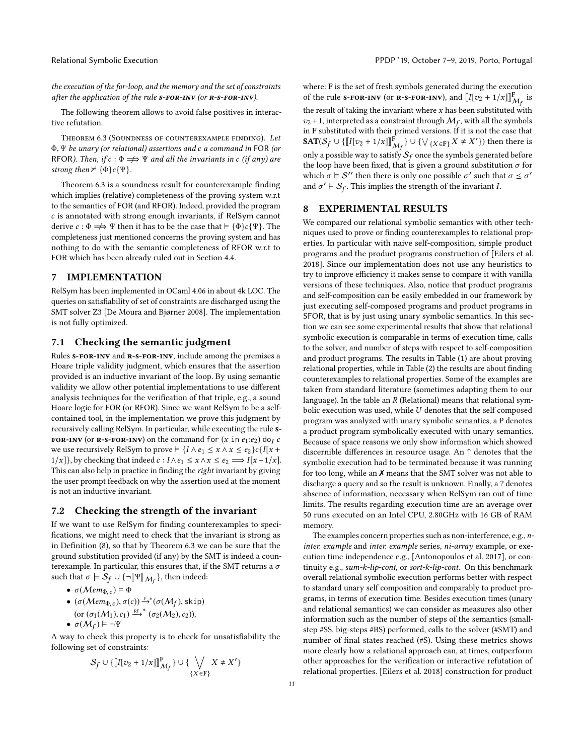the execution of the for-loop, and the memory and the set of constraints after the application of the rule  $s$ -FOR-INV (or  $R$ - $s$ -FOR-INV).

The following theorem allows to avoid false positives in interactive refutation.

<span id="page-10-2"></span>Theorem 6.3 (Soundness of counterexample finding). Let Φ, Ψ be unary (or relational) assertions and c a command in FOR (or RFOR). Then, if  $c : \Phi \Longrightarrow \Psi$  and all the invariants in c (if any) are strong then  $\nvdash \{\Phi\}c\{\Psi\}.$ 

Theorem [6.3](#page-10-2) is a soundness result for counterexample finding which implies (relative) completeness of the proving system w.r.t to the semantics of FOR (and RFOR). Indeed, provided the program c is annotated with strong enough invariants, if RelSym cannot derive  $c : \Phi \Longrightarrow \Psi$  then it has to be the case that  $\models {\Phi}c{\Psi}$ . The completeness just mentioned concerns the proving system and has nothing to do with the semantic completeness of RFOR w.r.t to FOR which has been already ruled out in Section [4.4.](#page-5-2)

# <span id="page-10-0"></span>7 IMPLEMENTATION

RelSym has been implemented in OCaml 4.06 in about 4k LOC. The queries on satisfiability of set of constraints are discharged using the SMT solver Z3 [\[De Moura and Bjørner 2008\]](#page-13-22). The implementation is not fully optimized.

#### 7.1 Checking the semantic judgment

Rules s-FOR-INV and R-S-FOR-INV, include among the premises a Hoare triple validity judgment, which ensures that the assertion provided is an inductive invariant of the loop. By using semantic validity we allow other potential implementations to use different analysis techniques for the verification of that triple, e.g., a sound Hoare logic for FOR (or RFOR). Since we want RelSym to be a selfcontained tool, in the implementation we prove this judgment by recursively calling RelSym. In particular, while executing the rule s-FOR-INV (or R-S-FOR-INV) on the command for  $(x \text{ in } e_1: e_2)$  do<sub>I</sub> c we use recursively RelSym to prove  $\models \{I \land e_1 \leq x \land x \leq e_2\}$ c $\{I[x +$  $1/x$ }, by checking that indeed  $c : I \wedge e_1 \leq x \wedge x \leq e_2 \Longrightarrow I[x+1/x]$ . This can also help in practice in finding the right invariant by giving the user prompt feedback on why the assertion used at the moment is not an inductive invariant.

## 7.2 Checking the strength of the invariant

If we want to use RelSym for finding counterexamples to specifications, we might need to check that the invariant is strong as in Definition [\(8\)](#page-9-2), so that by Theorem [6.3](#page-10-2) we can be sure that the ground substitution provided (if any) by the SMT is indeed a counterexample. In particular, this ensures that, if the SMT returns a  $\sigma$ such that  $\sigma \models \mathcal{S}_f \cup {\lceil \Psi \rceil}_{\mathcal{M}_f}$ , then indeed:

• 
$$
\sigma(\text{Mem}_{\Phi, c}) \models \Phi
$$
  
•  $(\sigma(\text{Man}_c)) \neq 0$ 

•  $(\sigma(Mem_{\Phi,c}), \sigma(c)) \stackrel{F_*}{\rightarrow} (\sigma(M_f), \text{skip})$ (or  $(\sigma_1(M_1), c_1) \stackrel{\text{RF}}{\longrightarrow}^* (\sigma_2(M_2), c_2)$ ),<br>  $\sigma(M_2) = -\Psi$  $\bullet$   $\sigma(\mathcal{M}_f) \models \neg \Psi$ 

A way to check this property is to check for unsatisfiability the following set of constraints:

$$
S_f \cup \{\llbracket I[v_2 + 1/x] \rrbracket^{\mathbf{F}}_{\mathcal{M}_f} \} \cup \{\bigvee_{\{X \in \mathbf{F}\}} X \neq X'\}
$$

where: F is the set of fresh symbols generated during the execution of the rule s-FOR-INV (or R-S-FOR-INV), and  $[[I[v_2 + 1/x]]]_{M_f}^F$  is the result of taking the invariant where  $x$  has been substituted with  $v_2$  + 1, interpreted as a constraint through  $M_f$ , with all the symbols<br>in E substituted with their primed versions. If it is not the case that in F substituted with their primed versions. If it is not the case that SAT( $S_f \cup \{[[I[v_2 + 1/x]]]_{\mathcal{M}_f}^F\} \cup \{\vee_{\{X \in \mathbf{F}\}} X \neq X'\}$ ) then there is only a possible way to satisfy  $\mathcal{S}_f$  once the symbols generated before the loop have been fixed, that is given a ground substitution  $\sigma$  for which  $\sigma \models S''$  then there is only one possible  $\sigma'$  such that  $\sigma \leq \sigma'$ <br>and  $\sigma' \models S_{\sigma}$ . This implies the strength of the invariant I. and  $\sigma' \vDash S_f$ . This implies the strength of the invariant I.

# <span id="page-10-1"></span>8 EXPERIMENTAL RESULTS

We compared our relational symbolic semantics with other techniques used to prove or finding counterexamples to relational properties. In particular with naive self-composition, simple product programs and the product programs construction of [\[Eilers et al.](#page-13-4) [2018\]](#page-13-4). Since our implementation does not use any heuristics to try to improve efficiency it makes sense to compare it with vanilla versions of these techniques. Also, notice that product programs and self-composition can be easily embedded in our framework by just executing self-composed programs and product programs in SFOR, that is by just using unary symbolic semantics. In this section we can see some experimental results that show that relational symbolic execution is comparable in terms of execution time, calls to the solver, and number of steps with respect to self-composition and product programs. The results in Table [\(1\)](#page-11-1) are about proving relational properties, while in Table [\(2\)](#page-11-2) the results are about finding counterexamples to relational properties. Some of the examples are taken from standard literature (sometimes adapting them to our language). In the table an  $R$  (Relational) means that relational symbolic execution was used, while U denotes that the self composed program was analyzed with unary symbolic semantics, a P denotes a product program symbolically executed with unary semantics. Because of space reasons we only show information which showed discernible differences in resource usage. An ↑ denotes that the symbolic execution had to be terminated because it was running for too long, while an  $X$  means that the SMT solver was not able to discharge a query and so the result is unknown. Finally, a ? denotes absence of information, necessary when RelSym ran out of time limits. The results regarding execution time are an average over 50 runs executed on an Intel CPU, 2.80GHz with 16 GB of RAM memory.

The examples concern properties such as non-interference, e.g., ninter. example and inter. example series, ni-array example, or execution time independence e.g., [\[Antonopoulos et al.](#page-12-16) [2017\]](#page-12-16), or continuity e.g., sum-k-lip-cont, or sort-k-lip-cont. On this benchmark overall relational symbolic execution performs better with respect to standard unary self composition and comparably to product programs, in terms of execution time. Besides execution times (unary and relational semantics) we can consider as measures also other information such as the number of steps of the semantics (smallstep #SS, big-steps #BS) performed, calls to the solver (#SMT) and number of final states reached (#S). Using these metrics shows more clearly how a relational approach can, at times, outperform other approaches for the verification or interactive refutation of relational properties. [\[Eilers et al.](#page-13-4) [2018\]](#page-13-4) construction for product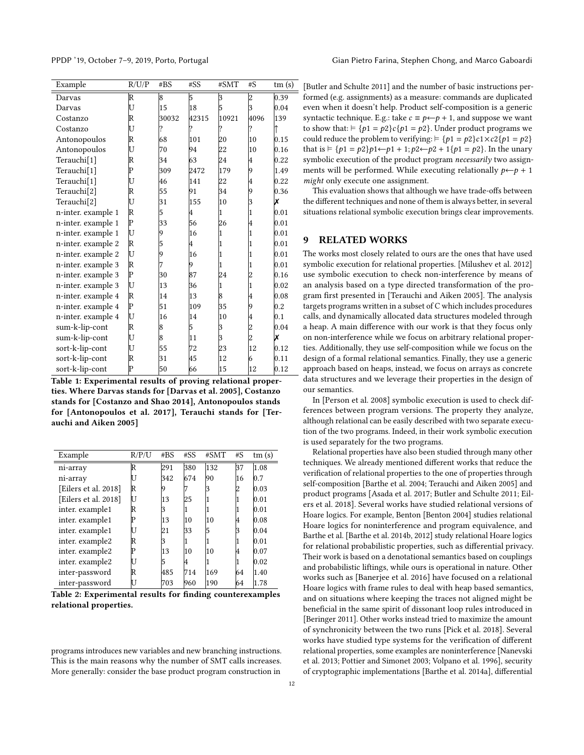<span id="page-11-1"></span>

| Example                 | R/U/P | #BS   | #SS   | #SMT  | #S             | tm(s) |
|-------------------------|-------|-------|-------|-------|----------------|-------|
| Darvas                  | R     | 8     | 5     | 3     | $\overline{c}$ | 0.39  |
| Darvas                  | U     | 15    | 18    | 5     |                | 0.04  |
| Costanzo                | R     | 30032 | 42315 | 10921 | 4096           | 139   |
| Costanzo                | U     | ?     | ?     | ?     | ?              |       |
| Antonopoulos            | R     | 68    | 101   | 20    | 10             | 0.15  |
| Antonopoulos            | U     | 70    | 94    | 22    | 10             | 0.16  |
| Terauchi[1]             | R     | 34    | 63    | 24    | 4              | 0.22  |
| Terauchi <sup>[1]</sup> | P     | 309   | 2472  | 179   | 9              | 1.49  |
| Terauchi <sup>[1]</sup> | U     | 46    | 141   | 22    | 4              | 0.22  |
| Terauchi <sup>[2]</sup> | R     | 55    | 91    | 34    | 9              | 0.36  |
| Terauchi <sup>[2]</sup> | U     | 31    | 155   | 10    | 3              | x     |
| n-inter. example 1      | R     | 5     | 4     | 1     |                | 0.01  |
| n-inter. example 1      | P     | 33    | 56    | 26    | 4              | 0.01  |
| n-inter. example 1      | U     | 9     | 16    | 1     | 1              | 0.01  |
| n-inter. example 2      | R     | 5     | 4     | 1     |                | 0.01  |
| n-inter. example 2      | U     | 9     | 16    | 1     | 1              | 0.01  |
| n-inter. example 3      | R     | 7     | 9     | 1     |                | 0.01  |
| n-inter. example 3      | P     | 30    | 87    | 24    |                | 0.16  |
| n-inter. example 3      | U     | 13    | 36    | 1     | 1              | 0.02  |
| n-inter. example 4      | R     | 14    | 13    | 8     | 4              | 0.08  |
| n-inter. example 4      | P     | 51    | 109   | 35    | 9              | 0.2   |
| n-inter. example 4      | U     | 16    | 14    | 10    | 4              | 0.1   |
| sum-k-lip-cont          | R     | 8     | 5     | 3     |                | 0.04  |
| sum-k-lip-cont          | U     | 8     | 11    | 3     |                | X     |
| sort-k-lip-cont         | U     | 55    | 72    | 23    | 12             | 0.12  |
| sort-k-lip-cont         | R     | 31    | 45    | 12    | 6              | 0.11  |
| sort-k-lin-cont         | Þ     | 50    | 66    | 15    | 12             | 0.12  |

Table 1: Experimental results of proving relational properties. Where Darvas stands for [\[Darvas et al. 2005\]](#page-13-23), Costanzo stands for [\[Costanzo and Shao 2014\]](#page-12-17), Antonopoulos stands for [\[Antonopoulos et al. 2017\]](#page-12-16), Terauchi stands for [\[Ter](#page-13-3)[auchi and Aiken 2005\]](#page-13-3)

<span id="page-11-2"></span>

| Example              | R/P/U | #BS | #SS | #SMT | # $S$ | tm(s) |
|----------------------|-------|-----|-----|------|-------|-------|
| ni-array             | R     | 291 | 380 | 132  | 37    | 1.08  |
| ni-array             |       | 342 | 674 | 90   | 16    | 0.7   |
| [Eilers et al. 2018] | R     |     |     |      |       | 0.03  |
| [Eilers et al. 2018] |       | 13  | 25  |      |       | 0.01  |
| inter. example1      | R     |     |     |      |       | 0.01  |
| inter. example1      |       | 13  | 10  | 10   | 14    | 0.08  |
| inter. example1      |       | 21  | 33  | 5    |       | 0.04  |
| inter. example2      | R     |     |     |      |       | 0.01  |
| inter. example2      |       | 13  | 10  | 10   | 14    | 0.07  |
| inter. example2      |       |     |     |      |       | 0.02  |
| inter-password       | R     | 485 | 714 | 169  | 64    | 1.40  |
| inter-password       |       | 703 | 960 | 190  | 64    | 1.78  |

Table 2: Experimental results for finding counterexamples relational properties.

programs introduces new variables and new branching instructions. This is the main reasons why the number of SMT calls increases. More generally: consider the base product program construction in

PPDP '19, October 7-9, 2019, Porto, Portugal Gian Pietro Farina, Stephen Chong, and Marco Gaboardi

[\[Butler and Schulte 2011\]](#page-12-5) and the number of basic instructions performed (e.g. assignments) as a measure: commands are duplicated even when it doesn't help. Product self-composition is a generic syntactic technique. E.g.: take  $c \equiv p \leftarrow p + 1$ , and suppose we want to show that:  $\models \{p1 = p2\}c\{p1 = p2\}$ . Under product programs we could reduce the problem to verifying:  $= {p1 = p2}c1 \times c2{p1 = p2}$ that is  $\models$  {*p*1 = *p*2}*p*1←*p*1 + 1; *p*2←*p*2 + 1{*p*1 = *p*2}. In the unary symbolic execution of the product program necessarily two assignments will be performed. While executing relationally  $p \leftarrow p + 1$ might only execute one assignment.

This evaluation shows that although we have trade-offs between the different techniques and none of them is always better, in several situations relational symbolic execution brings clear improvements.

#### <span id="page-11-0"></span>9 RELATED WORKS

The works most closely related to ours are the ones that have used symbolic execution for relational properties. [\[Milushev et al.](#page-13-6) [2012\]](#page-13-6) use symbolic execution to check non-interference by means of an analysis based on a type directed transformation of the program first presented in [\[Terauchi and Aiken 2005\]](#page-13-3). The analysis targets programs written in a subset of C which includes procedures calls, and dynamically allocated data structures modeled through a heap. A main difference with our work is that they focus only on non-interference while we focus on arbitrary relational properties. Additionally, they use self-composition while we focus on the design of a formal relational semantics. Finally, they use a generic approach based on heaps, instead, we focus on arrays as concrete data structures and we leverage their properties in the design of our semantics.

In [\[Person et al.](#page-13-24) [2008\]](#page-13-24) symbolic execution is used to check differences between program versions. The property they analyze, although relational can be easily described with two separate execution of the two programs. Indeed, in their work symbolic execution is used separately for the two programs.

Relational properties have also been studied through many other techniques. We already mentioned different works that reduce the verification of relational properties to the one of properties through self-composition [\[Barthe et al.](#page-12-4) [2004;](#page-12-4) [Terauchi and Aiken 2005\]](#page-13-3) and product programs [\[Asada et al.](#page-12-18) [2017;](#page-12-18) [Butler and Schulte 2011;](#page-12-5) [Eil](#page-13-4)[ers et al.](#page-13-4) [2018\]](#page-13-4). Several works have studied relational versions of Hoare logics. For example, Benton [\[Benton 2004\]](#page-12-0) studies relational Hoare logics for noninterference and program equivalence, and Barthe et al. [\[Barthe et al.](#page-12-7) [2014b,](#page-12-7) [2012\]](#page-12-9) study relational Hoare logics for relational probabilistic properties, such as differential privacy. Their work is based on a denotational semantics based on couplings and probabilistic liftings, while ours is operational in nature. Other works such as [\[Banerjee et al.](#page-12-14) [2016\]](#page-12-14) have focused on a relational Hoare logics with frame rules to deal with heap based semantics, and on situations where keeping the traces not aligned might be beneficial in the same spirit of dissonant loop rules introduced in [\[Beringer 2011\]](#page-12-15). Other works instead tried to maximize the amount of synchronicity between the two runs [\[Pick et al.](#page-13-25) [2018\]](#page-13-25). Several works have studied type systems for the verification of different relational properties, some examples are noninterference [\[Nanevski](#page-13-7) [et al.](#page-13-7) [2013;](#page-13-7) [Pottier and Simonet 2003;](#page-13-8) [Volpano et al.](#page-13-26) [1996\]](#page-13-26), security of cryptographic implementations [\[Barthe et al.](#page-12-19) [2014a\]](#page-12-19), differential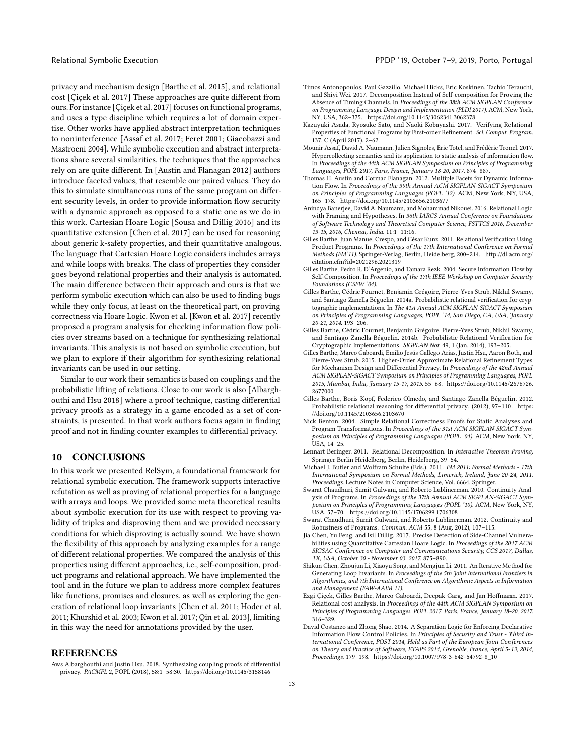Relational Symbolic Execution **PPDP** '19, October 7-9, 2019, Porto, Portugal

privacy and mechanism design [\[Barthe et al.](#page-12-8) [2015\]](#page-12-8), and relational cost [\[Çiçek et al.](#page-12-3) [2017\]](#page-12-3) These approaches are quite different from ours. For instance [\[Çiçek et al.](#page-12-3) [2017\]](#page-12-3) focuses on functional programs, and uses a type discipline which requires a lot of domain expertise. Other works have applied abstract interpretation techniques to noninterference [\[Assaf et al.](#page-12-10) [2017;](#page-12-10) [Feret 2001;](#page-13-11) [Giacobazzi and](#page-13-12) [Mastroeni 2004\]](#page-13-12). While symbolic execution and abstract interpretations share several similarities, the techniques that the approaches rely on are quite different. In [\[Austin and Flanagan 2012\]](#page-12-20) authors introduce faceted values, that resemble our paired values. They do this to simulate simultaneous runs of the same program on different security levels, in order to provide information flow security with a dynamic approach as opposed to a static one as we do in this work. Cartesian Hoare Logic [\[Sousa and Dillig 2016\]](#page-13-9) and its quantitative extension [\[Chen et al.](#page-12-11) [2017\]](#page-12-11) can be used for reasoning about generic k-safety properties, and their quantitative analogous. The language that Cartesian Hoare Logic considers includes arrays and while loops with breaks. The class of properties they consider goes beyond relational properties and their analysis is automated. The main difference between their approach and ours is that we perform symbolic execution which can also be used to finding bugs while they only focus, at least on the theoretical part, on proving correctness via Hoare Logic. Kwon et al. [\[Kwon et al.](#page-13-10) [2017\]](#page-13-10) recently proposed a program analysis for checking information flow policies over streams based on a technique for synthesizing relational invariants. This analysis is not based on symbolic execution, but we plan to explore if their algorithm for synthesizing relational invariants can be used in our setting.

Similar to our work their semantics is based on couplings and the probabilistic lifting of relations. Close to our work is also [\[Albargh](#page-12-21)[outhi and Hsu 2018\]](#page-12-21) where a proof technique, casting differential privacy proofs as a strategy in a game encoded as a set of constraints, is presented. In that work authors focus again in finding proof and not in finding counter examples to differential privacy.

# <span id="page-12-13"></span>10 CONCLUSIONS

In this work we presented RelSym, a foundational framework for relational symbolic execution. The framework supports interactive refutation as well as proving of relational properties for a language with arrays and loops. We provided some meta theoretical results about symbolic execution for its use with respect to proving validity of triples and disproving them and we provided necessary conditions for which disproving is actually sound. We have shown the flexibility of this approach by analyzing examples for a range of different relational properties. We compared the analysis of this properties using different approaches, i.e., self-composition, product programs and relational approach. We have implemented the tool and in the future we plan to address more complex features like functions, promises and closures, as well as exploring the generation of relational loop invariants [\[Chen et al.](#page-12-12) [2011;](#page-12-12) [Hoder et al.](#page-13-27) [2011;](#page-13-27) [Khurshid et al.](#page-13-18) [2003;](#page-13-18) [Kwon et al.](#page-13-10) [2017;](#page-13-10) [Qin et al.](#page-13-15) [2013\]](#page-13-15), limiting in this way the need for annotations provided by the user.

#### REFERENCES

<span id="page-12-21"></span>Aws Albarghouthi and Justin Hsu. 2018. Synthesizing coupling proofs of differential privacy. PACMPL 2, POPL (2018), 58:1–58:30.<https://doi.org/10.1145/3158146>

- <span id="page-12-16"></span>Timos Antonopoulos, Paul Gazzillo, Michael Hicks, Eric Koskinen, Tachio Terauchi, and Shiyi Wei. 2017. Decomposition Instead of Self-composition for Proving the Absence of Timing Channels. In Proceedings of the 38th ACM SIGPLAN Conference on Programming Language Design and Implementation (PLDI 2017). ACM, New York, NY, USA, 362–375.<https://doi.org/10.1145/3062341.3062378>
- <span id="page-12-18"></span>Kazuyuki Asada, Ryosuke Sato, and Naoki Kobayashi. 2017. Verifying Relational Properties of Functional Programs by First-order Refinement. Sci. Comput. Program. 137, C (April 2017), 2–62.
- <span id="page-12-10"></span>Mounir Assaf, David A. Naumann, Julien Signoles, Eric Totel, and Frédéric Tronel. 2017. Hypercollecting semantics and its application to static analysis of information flow. In Proceedings of the 44th ACM SIGPLAN Symposium on Principles of Programming Languages, POPL 2017, Paris, France, January 18-20, 2017. 874–887.
- <span id="page-12-20"></span>Thomas H. Austin and Cormac Flanagan. 2012. Multiple Facets for Dynamic Information Flow. In Proceedings of the 39th Annual ACM SIGPLAN-SIGACT Symposium on Principles of Programming Languages (POPL '12). ACM, New York, NY, USA, 165–178.<https://doi.org/10.1145/2103656.2103677>
- <span id="page-12-14"></span>Anindya Banerjee, David A. Naumann, and Mohammad Nikouei. 2016. Relational Logic with Framing and Hypotheses. In 36th IARCS Annual Conference on Foundations of Software Technology and Theoretical Computer Science, FSTTCS 2016, December 13-15, 2016, Chennai, India. 11:1–11:16.
- <span id="page-12-6"></span>Gilles Barthe, Juan Manuel Crespo, and César Kunz. 2011. Relational Verification Using Product Programs. In Proceedings of the 17th International Conference on Formal Methods (FM'11). Springer-Verlag, Berlin, Heidelberg, 200–214. [http://dl.acm.org/](http://dl.acm.org/citation.cfm?id=2021296.2021319) [citation.cfm?id=2021296.2021319](http://dl.acm.org/citation.cfm?id=2021296.2021319)
- <span id="page-12-4"></span>Gilles Barthe, Pedro R. D'Argenio, and Tamara Rezk. 2004. Secure Information Flow by Self-Composition. In Proceedings of the 17th IEEE Workshop on Computer Security Foundations (CSFW '04).
- <span id="page-12-19"></span>Gilles Barthe, Cédric Fournet, Benjamin Grégoire, Pierre-Yves Strub, Nikhil Swamy, and Santiago Zanella Béguelin. 2014a. Probabilistic relational verification for cryptographic implementations. In The 41st Annual ACM SIGPLAN-SIGACT Symposium on Principles of Programming Languages, POPL '14, San Diego, CA, USA, January 20-21, 2014. 193–206.
- <span id="page-12-7"></span>Gilles Barthe, Cédric Fournet, Benjamin Grégoire, Pierre-Yves Strub, Nikhil Swamy, and Santiago Zanella-Béguelin. 2014b. Probabilistic Relational Verification for Cryptographic Implementations. SIGPLAN Not. 49, 1 (Jan. 2014), 193–205.
- <span id="page-12-8"></span>Gilles Barthe, Marco Gaboardi, Emilio Jesús Gallego Arias, Justin Hsu, Aaron Roth, and Pierre-Yves Strub. 2015. Higher-Order Approximate Relational Refinement Types for Mechanism Design and Differential Privacy. In Proceedings of the 42nd Annual ACM SIGPLAN-SIGACT Symposium on Principles of Programming Languages, POPL 2015, Mumbai, India, January 15-17, 2015. 55–68. [https://doi.org/10.1145/2676726.](https://doi.org/10.1145/2676726.2677000) [2677000](https://doi.org/10.1145/2676726.2677000)
- <span id="page-12-9"></span>Gilles Barthe, Boris Köpf, Federico Olmedo, and Santiago Zanella Béguelin. 2012. Probabilistic relational reasoning for differential privacy. (2012), 97–110. [https:](https://doi.org/10.1145/2103656.2103670) [//doi.org/10.1145/2103656.2103670](https://doi.org/10.1145/2103656.2103670)
- <span id="page-12-0"></span>Nick Benton. 2004. Simple Relational Correctness Proofs for Static Analyses and Program Transformations. In Proceedings of the 31st ACM SIGPLAN-SIGACT Symposium on Principles of Programming Languages (POPL '04). ACM, New York, NY,  $IISA$ ,  $14-25$ .
- <span id="page-12-15"></span>Lennart Beringer. 2011. Relational Decomposition. In Interactive Theorem Proving. Springer Berlin Heidelberg, Berlin, Heidelberg, 39–54.
- <span id="page-12-5"></span>Michael J. Butler and Wolfram Schulte (Eds.). 2011. FM 2011: Formal Methods - 17th International Symposium on Formal Methods, Limerick, Ireland, June 20-24, 2011. Proceedings. Lecture Notes in Computer Science, Vol. 6664. Springer.
- <span id="page-12-1"></span>Swarat Chaudhuri, Sumit Gulwani, and Roberto Lublinerman. 2010. Continuity Analysis of Programs. In Proceedings of the 37th Annual ACM SIGPLAN-SIGACT Symposium on Principles of Programming Languages (POPL '10). ACM, New York, NY, USA, 57–70.<https://doi.org/10.1145/1706299.1706308>
- <span id="page-12-2"></span>Swarat Chaudhuri, Sumit Gulwani, and Roberto Lublinerman. 2012. Continuity and Robustness of Programs. Commun. ACM 55, 8 (Aug. 2012), 107–115.
- <span id="page-12-11"></span>Jia Chen, Yu Feng, and Isil Dillig. 2017. Precise Detection of Side-Channel Vulnerabilities using Quantitative Cartesian Hoare Logic. In Proceedings of the 2017 ACM SIGSAC Conference on Computer and Communications Security, CCS 2017, Dallas, TX, USA, October 30 - November 03, 2017. 875–890.
- <span id="page-12-12"></span>Shikun Chen, Zhoujun Li, Xiaoyu Song, and Mengjun Li. 2011. An Iterative Method for Generating Loop Invariants. In Proceedings of the 5th Joint International Frontiers in Algorithmics, and 7th International Conference on Algorithmic Aspects in Information and Management (FAW-AAIM'11).
- <span id="page-12-3"></span>Ezgi Çiçek, Gilles Barthe, Marco Gaboardi, Deepak Garg, and Jan Hoffmann. 2017. Relational cost analysis. In Proceedings of the 44th ACM SIGPLAN Symposium on Principles of Programming Languages, POPL 2017, Paris, France, January 18-20, 2017. 316–329.
- <span id="page-12-17"></span>David Costanzo and Zhong Shao. 2014. A Separation Logic for Enforcing Declarative Information Flow Control Policies. In Principles of Security and Trust - Third International Conference, POST 2014, Held as Part of the European Joint Conferences on Theory and Practice of Software, ETAPS 2014, Grenoble, France, April 5-13, 2014, Proceedings. 179–198. [https://doi.org/10.1007/978-3-642-54792-8\\_10](https://doi.org/10.1007/978-3-642-54792-8_10)